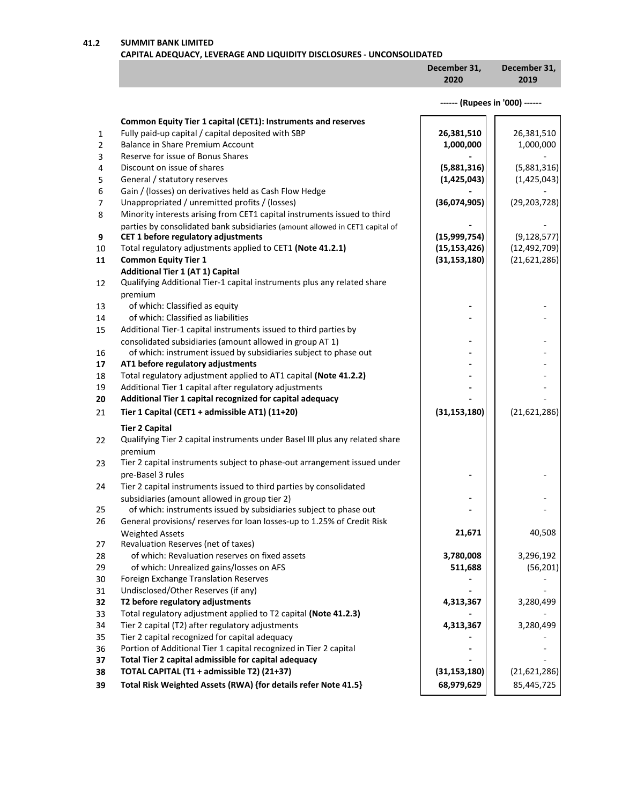**41.2 SUMMIT BANK LIMITED**

## **CAPITAL ADEQUACY, LEVERAGE AND LIQUIDITY DISCLOSURES - UNCONSOLIDATED**

| December 31, | December 31, |
|--------------|--------------|
| 2020         | 2019         |
|              |              |

|                |                                                                                                     | ------ (Rupees in '000) ------ |                |
|----------------|-----------------------------------------------------------------------------------------------------|--------------------------------|----------------|
|                | Common Equity Tier 1 capital (CET1): Instruments and reserves                                       |                                |                |
| 1              | Fully paid-up capital / capital deposited with SBP                                                  | 26,381,510                     | 26,381,510     |
| $\overline{2}$ | <b>Balance in Share Premium Account</b>                                                             | 1,000,000                      | 1,000,000      |
| 3              | Reserve for issue of Bonus Shares                                                                   |                                |                |
| 4              | Discount on issue of shares                                                                         | (5,881,316)                    | (5,881,316)    |
| 5              | General / statutory reserves                                                                        | (1,425,043)                    | (1,425,043)    |
| 6              | Gain / (losses) on derivatives held as Cash Flow Hedge                                              |                                |                |
| 7              | Unappropriated / unremitted profits / (losses)                                                      | (36,074,905)                   | (29, 203, 728) |
| 8              | Minority interests arising from CET1 capital instruments issued to third                            |                                |                |
|                | parties by consolidated bank subsidiaries (amount allowed in CET1 capital of                        |                                |                |
| 9              | CET 1 before regulatory adjustments                                                                 | (15,999,754)                   | (9, 128, 577)  |
| 10             | Total regulatory adjustments applied to CET1 (Note 41.2.1)                                          | (15, 153, 426)                 | (12, 492, 709) |
| 11             | <b>Common Equity Tier 1</b>                                                                         | (31, 153, 180)                 | (21,621,286)   |
|                | <b>Additional Tier 1 (AT 1) Capital</b>                                                             |                                |                |
| 12             | Qualifying Additional Tier-1 capital instruments plus any related share                             |                                |                |
|                | premium                                                                                             |                                |                |
| 13             | of which: Classified as equity                                                                      |                                |                |
| 14             | of which: Classified as liabilities                                                                 |                                |                |
| 15             | Additional Tier-1 capital instruments issued to third parties by                                    |                                |                |
|                | consolidated subsidiaries (amount allowed in group AT 1)                                            |                                |                |
| 16             | of which: instrument issued by subsidiaries subject to phase out                                    |                                |                |
| 17             | AT1 before regulatory adjustments                                                                   |                                |                |
| 18             | Total regulatory adjustment applied to AT1 capital (Note 41.2.2)                                    |                                |                |
| 19             | Additional Tier 1 capital after regulatory adjustments                                              |                                |                |
| 20             | Additional Tier 1 capital recognized for capital adequacy                                           |                                |                |
| 21             | Tier 1 Capital (CET1 + admissible AT1) (11+20)                                                      | (31, 153, 180)                 | (21,621,286)   |
|                | <b>Tier 2 Capital</b>                                                                               |                                |                |
| 22             | Qualifying Tier 2 capital instruments under Basel III plus any related share                        |                                |                |
|                | premium                                                                                             |                                |                |
| 23             | Tier 2 capital instruments subject to phase-out arrangement issued under                            |                                |                |
|                | pre-Basel 3 rules                                                                                   |                                |                |
| 24             | Tier 2 capital instruments issued to third parties by consolidated                                  |                                |                |
|                | subsidiaries (amount allowed in group tier 2)                                                       |                                |                |
| 25             | of which: instruments issued by subsidiaries subject to phase out                                   |                                |                |
| 26             | General provisions/ reserves for loan losses-up to 1.25% of Credit Risk                             |                                |                |
|                | <b>Weighted Assets</b>                                                                              | 21,671                         | 40,508         |
| 27             | Revaluation Reserves (net of taxes)                                                                 |                                |                |
| 28             | of which: Revaluation reserves on fixed assets                                                      | 3,780,008                      | 3,296,192      |
| 29             | of which: Unrealized gains/losses on AFS                                                            | 511,688                        | (56, 201)      |
| 30             | Foreign Exchange Translation Reserves                                                               |                                |                |
| 31             | Undisclosed/Other Reserves (if any)                                                                 |                                |                |
| 32             | T2 before regulatory adjustments<br>Total regulatory adjustment applied to T2 capital (Note 41.2.3) | 4,313,367                      | 3,280,499      |
| 33             |                                                                                                     |                                |                |
| 34             | Tier 2 capital (T2) after regulatory adjustments<br>Tier 2 capital recognized for capital adequacy  | 4,313,367                      | 3,280,499      |
| 35<br>36       | Portion of Additional Tier 1 capital recognized in Tier 2 capital                                   |                                |                |
| 37             | Total Tier 2 capital admissible for capital adequacy                                                |                                |                |
| 38             | TOTAL CAPITAL (T1 + admissible T2) (21+37)                                                          | (31, 153, 180)                 | (21,621,286)   |
|                | Total Risk Weighted Assets (RWA) {for details refer Note 41.5}                                      |                                |                |
| 39             |                                                                                                     | 68,979,629                     | 85,445,725     |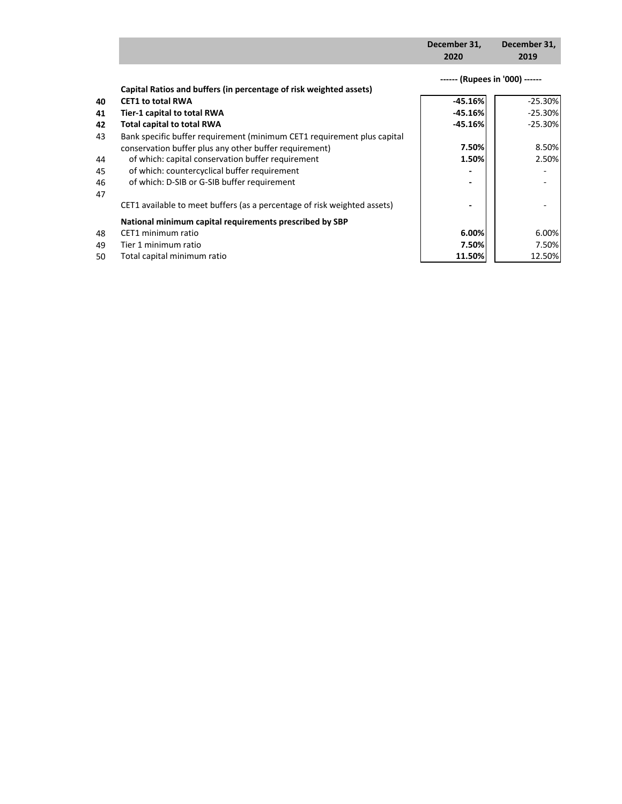|    |                                                                          | December 31,<br>2020           | December 31,<br>2019 |
|----|--------------------------------------------------------------------------|--------------------------------|----------------------|
|    |                                                                          | ------ (Rupees in '000) ------ |                      |
|    | Capital Ratios and buffers (in percentage of risk weighted assets)       |                                |                      |
| 40 | <b>CET1 to total RWA</b>                                                 | $-45.16%$                      | $-25.30%$            |
| 41 | Tier-1 capital to total RWA                                              | $-45.16%$                      | $-25.30%$            |
| 42 | <b>Total capital to total RWA</b>                                        | $-45.16%$                      | $-25.30%$            |
| 43 | Bank specific buffer requirement (minimum CET1 requirement plus capital  |                                |                      |
|    | conservation buffer plus any other buffer requirement)                   | 7.50%                          | 8.50%                |
| 44 | of which: capital conservation buffer requirement                        | 1.50%                          | 2.50%                |
| 45 | of which: countercyclical buffer requirement                             |                                |                      |
| 46 | of which: D-SIB or G-SIB buffer requirement                              | $\qquad \qquad \blacksquare$   |                      |
| 47 |                                                                          |                                |                      |
|    | CET1 available to meet buffers (as a percentage of risk weighted assets) |                                |                      |
|    | National minimum capital requirements prescribed by SBP                  |                                |                      |
| 48 | CET1 minimum ratio                                                       | 6.00%                          | 6.00%                |
| 49 | Tier 1 minimum ratio                                                     | 7.50%                          | 7.50%                |
| 50 | Total capital minimum ratio                                              | 11.50%                         | 12.50%               |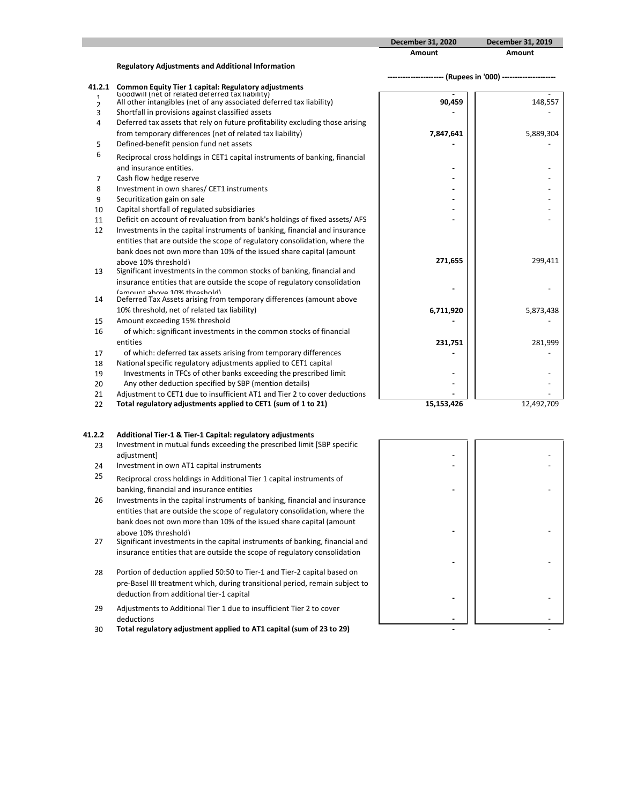|                     |                                                                                                                          | December 31, 2020                                             | December 31, 2019 |
|---------------------|--------------------------------------------------------------------------------------------------------------------------|---------------------------------------------------------------|-------------------|
|                     |                                                                                                                          | <b>Amount</b>                                                 | Amount            |
|                     | <b>Regulatory Adjustments and Additional Information</b>                                                                 |                                                               |                   |
|                     |                                                                                                                          | ---------------------- (Rupees in '000) --------------------- |                   |
| 41.2.1              | <b>Common Equity Tier 1 capital: Regulatory adjustments</b>                                                              |                                                               |                   |
| $\mathbf{1}$        | Goodwill (net of related deferred tax liability)<br>All other intangibles (net of any associated deferred tax liability) | 90,459                                                        | 148,557           |
| $\mathfrak{p}$<br>3 | Shortfall in provisions against classified assets                                                                        |                                                               |                   |
| 4                   | Deferred tax assets that rely on future profitability excluding those arising                                            |                                                               |                   |
|                     |                                                                                                                          |                                                               |                   |
|                     | from temporary differences (net of related tax liability)                                                                | 7,847,641                                                     | 5,889,304         |
| 5                   | Defined-benefit pension fund net assets                                                                                  |                                                               |                   |
| 6                   | Reciprocal cross holdings in CET1 capital instruments of banking, financial                                              |                                                               |                   |
|                     | and insurance entities.                                                                                                  |                                                               |                   |
| $\overline{7}$      | Cash flow hedge reserve                                                                                                  |                                                               |                   |
| 8                   | Investment in own shares/ CET1 instruments                                                                               |                                                               |                   |
| 9                   | Securitization gain on sale                                                                                              |                                                               |                   |
| 10                  | Capital shortfall of regulated subsidiaries                                                                              |                                                               |                   |
| 11                  | Deficit on account of revaluation from bank's holdings of fixed assets/ AFS                                              |                                                               |                   |
| 12                  | Investments in the capital instruments of banking, financial and insurance                                               |                                                               |                   |
|                     | entities that are outside the scope of regulatory consolidation, where the                                               |                                                               |                   |
|                     | bank does not own more than 10% of the issued share capital (amount                                                      |                                                               |                   |
|                     | above 10% threshold)                                                                                                     | 271,655                                                       | 299,411           |
| 13                  | Significant investments in the common stocks of banking, financial and                                                   |                                                               |                   |
|                     | insurance entities that are outside the scope of regulatory consolidation                                                |                                                               |                   |
| 14                  | Ismount shows 10% throchold)<br>Deferred Tax Assets arising from temporary differences (amount above                     |                                                               |                   |
|                     |                                                                                                                          |                                                               |                   |
|                     | 10% threshold, net of related tax liability)                                                                             | 6,711,920                                                     | 5,873,438         |
| 15                  | Amount exceeding 15% threshold                                                                                           |                                                               |                   |
| 16                  | of which: significant investments in the common stocks of financial                                                      |                                                               |                   |
|                     | entities                                                                                                                 | 231,751                                                       | 281,999           |
| 17                  | of which: deferred tax assets arising from temporary differences                                                         |                                                               |                   |
| 18                  | National specific regulatory adjustments applied to CET1 capital                                                         |                                                               |                   |
| 19                  | Investments in TFCs of other banks exceeding the prescribed limit                                                        |                                                               |                   |
| 20                  | Any other deduction specified by SBP (mention details)                                                                   |                                                               |                   |
| 21                  | Adjustment to CET1 due to insufficient AT1 and Tier 2 to cover deductions                                                |                                                               |                   |
| 22                  | Total regulatory adjustments applied to CET1 (sum of 1 to 21)                                                            | 15,153,426                                                    | 12,492,709        |

## **41.2.2 Additional Tier-1 & Tier-1 Capital: regulatory adjustments**

- 23 Investment in mutual funds exceeding the prescribed limit [SBP specific adjustment] **-** -
- 24 Investment in own AT1 capital instruments
- 25 Reciprocal cross holdings in Additional Tier 1 capital instruments of banking, financial and insurance entities
- 26 Investments in the capital instruments of banking, financial and insurance entities that are outside the scope of regulatory consolidation, where the bank does not own more than 10% of the issued share capital (amount above 10% threshold)
- 27 Significant investments in the capital instruments of banking, financial and insurance entities that are outside the scope of regulatory consolidation
- 28 Portion of deduction applied 50:50 to Tier-1 and Tier-2 capital based on pre-Basel III treatment which, during transitional period, remain subject to deduction from additional tier-1 capital
- 29 Adjustments to Additional Tier 1 due to insufficient Tier 2 to cover deductions **-** -
- 30 **Total regulatory adjustment applied to AT1 capital (sum of 23 to 29)**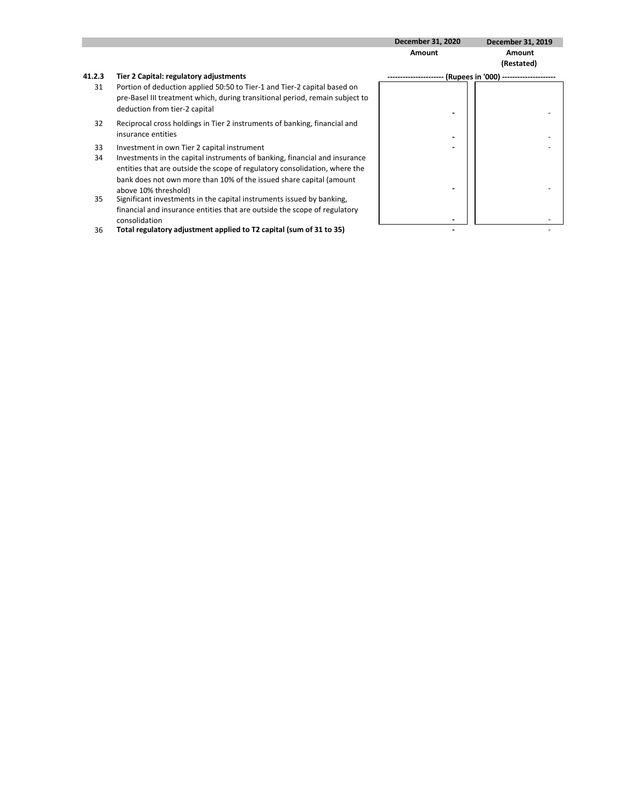|           |                                                                                                                                                                                                                                                         | <b>December 31, 2020</b> | December 31, 2019                 |
|-----------|---------------------------------------------------------------------------------------------------------------------------------------------------------------------------------------------------------------------------------------------------------|--------------------------|-----------------------------------|
|           |                                                                                                                                                                                                                                                         | Amount                   | Amount<br>(Restated)              |
| 41.2.3    | Tier 2 Capital: regulatory adjustments                                                                                                                                                                                                                  |                          | (Rupees in '000) ---------------- |
| 31        | Portion of deduction applied 50:50 to Tier-1 and Tier-2 capital based on<br>pre-Basel III treatment which, during transitional period, remain subject to<br>deduction from tier-2 capital                                                               |                          |                                   |
| 32        | Reciprocal cross holdings in Tier 2 instruments of banking, financial and<br>insurance entities                                                                                                                                                         |                          |                                   |
| 33        | Investment in own Tier 2 capital instrument                                                                                                                                                                                                             |                          |                                   |
| 34        | Investments in the capital instruments of banking, financial and insurance<br>entities that are outside the scope of regulatory consolidation, where the<br>bank does not own more than 10% of the issued share capital (amount<br>above 10% threshold) |                          |                                   |
| <b>DE</b> | Cianificant invoctments in the conital instruments issued by hanking                                                                                                                                                                                    |                          |                                   |

35 Significant investments in the capital instruments issued by banking, financial and insurance entities that are outside the scope of regulatory consolidation **-** -

36 **Total regulatory adjustment applied to T2 capital (sum of 31 to 35) -** -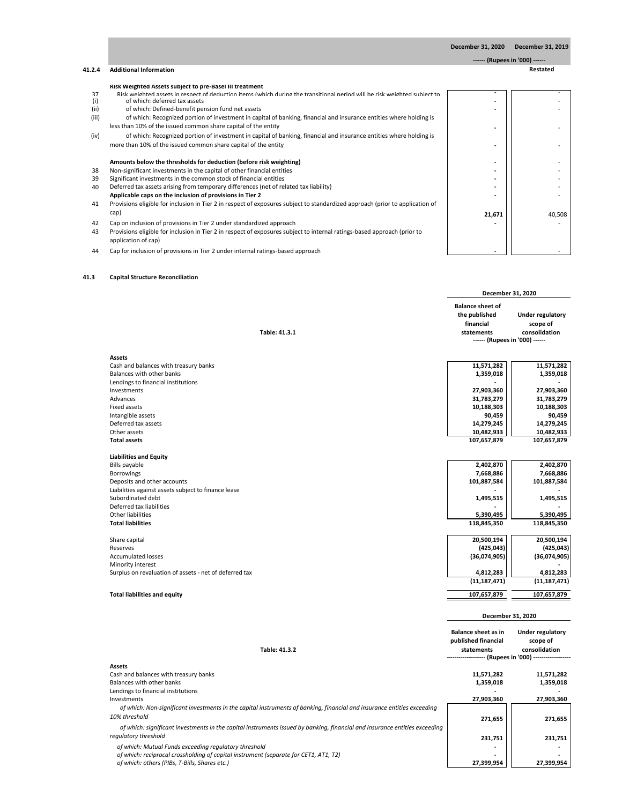**------ (Rupees in '000) ------**

#### **41.2.4 Additional Information Restated**

#### **Risk Weighted Assets subject to pre-Basel III treatment**

- 37 Risk weighted assets in respect of deduction items (which during the transitional period will be risk weighted subject to **-** -
- of which: deferred tax assets
- 
- (ii) of which: Defined-benefit pension fund net assets<br>
(iii) of which: Recognized portion of investment in capi of which: Recognized portion of investment in capital of banking, financial and insurance entities where holding is
- less than 10% of the issued common share capital of the entity
- (iv) of which: Recognized portion of investment in capital of banking, financial and insurance entities where holding is more than 10% of the issued common share capital of the entity

#### Amounts below the thresholds for deduction (before risk weighting)

- 38 Non-significant investments in the capital of other financial entities<br>39 Significant investments in the common stock of financial entities
- 39 Significant investments in the common stock of financial entities<br>40 Deferred tax assets arising from temporary differences (net of rel
- Deferred tax assets arising from temporary differences (net of related tax liability) Applicable caps on the inclusion of provisions in Tier 2
- 41 Provisions eligible for inclusion in Tier 2 in respect of exposures subject to standardized approach (prior to application of cap)
- 42 Cap on inclusion of provisions in Tier 2 under standardized approach **-** -
- 43 Provisions eligible for inclusion in Tier 2 in respect of exposures subject to internal ratings-based approach (prior to application of cap)
- 44 Cap for inclusion of provisions in Tier 2 under internal ratings-based approach

#### **41.3 Capital Structure Reconciliation**

|                                                        | December 31, 2020                                                                                     |                                                      |
|--------------------------------------------------------|-------------------------------------------------------------------------------------------------------|------------------------------------------------------|
| Table: 41.3.1                                          | <b>Balance sheet of</b><br>the published<br>financial<br>statements<br>------ (Rupees in '000) ------ | <b>Under regulatory</b><br>scope of<br>consolidation |
| <b>Assets</b>                                          |                                                                                                       |                                                      |
| Cash and balances with treasury banks                  | 11,571,282                                                                                            | 11,571,282                                           |
| Balances with other banks                              | 1,359,018                                                                                             | 1,359,018                                            |
| Lendings to financial institutions                     |                                                                                                       |                                                      |
| Investments                                            | 27,903,360                                                                                            | 27,903,360                                           |
| Advances                                               | 31,783,279                                                                                            | 31,783,279                                           |
| Fixed assets                                           | 10,188,303                                                                                            | 10,188,303                                           |
| Intangible assets                                      | 90,459                                                                                                | 90,459                                               |
| Deferred tax assets                                    | 14,279,245                                                                                            | 14,279,245                                           |
| Other assets                                           | 10,482,933                                                                                            | 10,482,933                                           |
| <b>Total assets</b>                                    | 107,657,879                                                                                           | 107,657,879                                          |
|                                                        |                                                                                                       |                                                      |
| <b>Liabilities and Equity</b><br>Bills payable         | 2,402,870                                                                                             | 2,402,870                                            |
| Borrowings                                             | 7,668,886                                                                                             | 7,668,886                                            |
| Deposits and other accounts                            | 101,887,584                                                                                           | 101,887,584                                          |
| Liabilities against assets subject to finance lease    |                                                                                                       |                                                      |
| Subordinated debt                                      | 1,495,515                                                                                             | 1,495,515                                            |
| Deferred tax liabilities                               |                                                                                                       |                                                      |
| Other liabilities                                      | 5,390,495                                                                                             | 5,390,495                                            |
| <b>Total liabilities</b>                               | 118,845,350                                                                                           | 118,845,350                                          |
|                                                        |                                                                                                       |                                                      |
| Share capital                                          | 20,500,194                                                                                            | 20,500,194                                           |
| <b>Reserves</b>                                        | (425, 043)                                                                                            | (425, 043)                                           |
| <b>Accumulated losses</b>                              | (36,074,905)                                                                                          | (36,074,905)                                         |
| Minority interest                                      |                                                                                                       |                                                      |
| Surplus on revaluation of assets - net of deferred tax | 4,812,283                                                                                             | 4,812,283                                            |
|                                                        | (11, 187, 471)                                                                                        | (11, 187, 471)                                       |
| <b>Total liabilities and equity</b>                    | 107,657,879                                                                                           | 107,657,879                                          |

|                                                                                                                                                    | December 31, 2020                                                                                                         |                                               |
|----------------------------------------------------------------------------------------------------------------------------------------------------|---------------------------------------------------------------------------------------------------------------------------|-----------------------------------------------|
| Table: 41.3.2                                                                                                                                      | <b>Balance sheet as in</b><br>published financial<br>statements<br>------------------ (Rupees in '000) ------------------ | Under regulatory<br>scope of<br>consolidation |
| <b>Assets</b>                                                                                                                                      |                                                                                                                           |                                               |
| Cash and balances with treasury banks                                                                                                              | 11,571,282                                                                                                                | 11,571,282                                    |
| Balances with other banks                                                                                                                          | 1,359,018                                                                                                                 | 1,359,018                                     |
| Lendings to financial institutions                                                                                                                 |                                                                                                                           |                                               |
| Investments                                                                                                                                        | 27,903,360                                                                                                                | 27,903,360                                    |
| of which: Non-significant investments in the capital instruments of banking, financial and insurance entities exceeding<br>10% threshold           | 271,655                                                                                                                   | 271,655                                       |
| of which: significant investments in the capital instruments issued by banking, financial and insurance entities exceeding<br>regulatory threshold | 231,751                                                                                                                   | 231,751                                       |
| of which: Mutual Funds exceeding regulatory threshold                                                                                              |                                                                                                                           |                                               |
| of which: reciprocal crossholding of capital instrument (separate for CET1, AT1, T2)                                                               |                                                                                                                           |                                               |
| of which: others (PIBs, T-Bills, Shares etc.)                                                                                                      | 27,399,954                                                                                                                | 27,399,954                                    |

| 21,671 | 40,508 |
|--------|--------|
|        |        |
|        |        |
|        |        |
|        |        |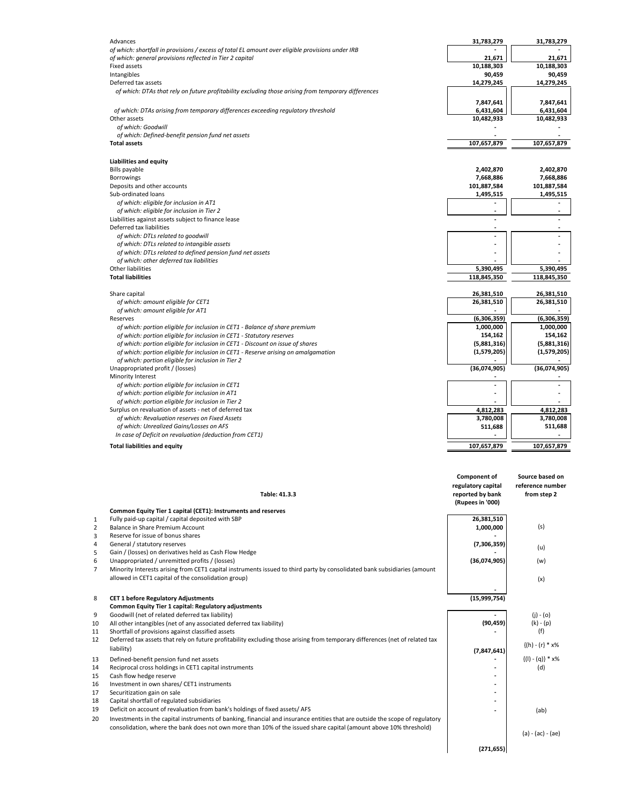| of which: general provisions reflected in Tier 2 capital<br>21,671<br>21,671<br><b>Fixed assets</b><br>10,188,303<br>10,188,303<br>Intangibles<br>90,459<br>90,459<br>14,279,245<br>14,279,245<br>Deferred tax assets<br>of which: DTAs that rely on future profitability excluding those arising from temporary differences<br>7,847,641<br>7,847,641<br>of which: DTAs arising from temporary differences exceeding regulatory threshold<br>6,431,604<br>6,431,604<br>Other assets<br>10,482,933<br>10,482,933<br>of which: Goodwill<br>of which: Defined-benefit pension fund net assets<br>107,657,879<br>107,657,879<br><b>Total assets</b><br><b>Liabilities and equity</b><br>2,402,870<br>2,402,870<br><b>Bills payable</b><br>7,668,886<br>7,668,886<br><b>Borrowings</b><br>Deposits and other accounts<br>101,887,584<br>101,887,584<br>Sub-ordinated loans<br>1,495,515<br>1,495,515<br>of which: eligible for inclusion in AT1<br>$\overline{\phantom{0}}$<br>of which: eligible for inclusion in Tier 2<br>$\overline{\phantom{a}}$<br>Liabilities against assets subject to finance lease<br>Deferred tax liabilities<br>of which: DTLs related to goodwill<br>of which: DTLs related to intangible assets<br>of which: DTLs related to defined pension fund net assets<br>of which: other deferred tax liabilities<br>Other liabilities<br>5,390,495<br>5,390,495<br><b>Total liabilities</b><br>118,845,350<br>118,845,350<br>Share capital<br>26,381,510<br>26,381,510<br>of which: amount eligible for CET1<br>26,381,510<br>26,381,510<br>of which: amount eligible for AT1<br>Reserves<br>(6,306,359)<br>(6,306,359)<br>of which: portion eligible for inclusion in CET1 - Balance of share premium<br>1,000,000<br>1,000,000<br>of which: portion eligible for inclusion in CET1 - Statutory reserves<br>154,162<br>154,162<br>of which: portion eligible for inclusion in CET1 - Discount on issue of shares<br>(5,881,316)<br>(5,881,316)<br>(1,579,205)<br>(1,579,205)<br>of which: portion eligible for inclusion in CET1 - Reserve arising on amalgamation<br>of which: portion eligible for inclusion in Tier 2<br>(36,074,905)<br>(36,074,905)<br>Unappropriated profit / (losses)<br>Minority Interest<br>of which: portion eligible for inclusion in CET1<br>$\sim$<br>of which: portion eligible for inclusion in AT1<br>of which: portion eligible for inclusion in Tier 2<br>Surplus on revaluation of assets - net of deferred tax<br>4,812,283<br>4,812,283<br>of which: Revaluation reserves on Fixed Assets<br>3,780,008<br>3,780,008<br>of which: Unrealized Gains/Losses on AFS<br>511,688<br>511,688<br>In case of Deficit on revaluation (deduction from CET1)<br>107,657,879<br>107,657,879<br><b>Total liabilities and equity</b> | Advances                                                                                         | 31,783,279 | 31,783,279 |
|-------------------------------------------------------------------------------------------------------------------------------------------------------------------------------------------------------------------------------------------------------------------------------------------------------------------------------------------------------------------------------------------------------------------------------------------------------------------------------------------------------------------------------------------------------------------------------------------------------------------------------------------------------------------------------------------------------------------------------------------------------------------------------------------------------------------------------------------------------------------------------------------------------------------------------------------------------------------------------------------------------------------------------------------------------------------------------------------------------------------------------------------------------------------------------------------------------------------------------------------------------------------------------------------------------------------------------------------------------------------------------------------------------------------------------------------------------------------------------------------------------------------------------------------------------------------------------------------------------------------------------------------------------------------------------------------------------------------------------------------------------------------------------------------------------------------------------------------------------------------------------------------------------------------------------------------------------------------------------------------------------------------------------------------------------------------------------------------------------------------------------------------------------------------------------------------------------------------------------------------------------------------------------------------------------------------------------------------------------------------------------------------------------------------------------------------------------------------------------------------------------------------------------------------------------------------------------------------------------------------------------------------------------------------------------------------------------------------------------------------------------------------------------|--------------------------------------------------------------------------------------------------|------------|------------|
|                                                                                                                                                                                                                                                                                                                                                                                                                                                                                                                                                                                                                                                                                                                                                                                                                                                                                                                                                                                                                                                                                                                                                                                                                                                                                                                                                                                                                                                                                                                                                                                                                                                                                                                                                                                                                                                                                                                                                                                                                                                                                                                                                                                                                                                                                                                                                                                                                                                                                                                                                                                                                                                                                                                                                                               | of which: shortfall in provisions / excess of total EL amount over eligible provisions under IRB |            |            |
|                                                                                                                                                                                                                                                                                                                                                                                                                                                                                                                                                                                                                                                                                                                                                                                                                                                                                                                                                                                                                                                                                                                                                                                                                                                                                                                                                                                                                                                                                                                                                                                                                                                                                                                                                                                                                                                                                                                                                                                                                                                                                                                                                                                                                                                                                                                                                                                                                                                                                                                                                                                                                                                                                                                                                                               |                                                                                                  |            |            |
|                                                                                                                                                                                                                                                                                                                                                                                                                                                                                                                                                                                                                                                                                                                                                                                                                                                                                                                                                                                                                                                                                                                                                                                                                                                                                                                                                                                                                                                                                                                                                                                                                                                                                                                                                                                                                                                                                                                                                                                                                                                                                                                                                                                                                                                                                                                                                                                                                                                                                                                                                                                                                                                                                                                                                                               |                                                                                                  |            |            |
|                                                                                                                                                                                                                                                                                                                                                                                                                                                                                                                                                                                                                                                                                                                                                                                                                                                                                                                                                                                                                                                                                                                                                                                                                                                                                                                                                                                                                                                                                                                                                                                                                                                                                                                                                                                                                                                                                                                                                                                                                                                                                                                                                                                                                                                                                                                                                                                                                                                                                                                                                                                                                                                                                                                                                                               |                                                                                                  |            |            |
|                                                                                                                                                                                                                                                                                                                                                                                                                                                                                                                                                                                                                                                                                                                                                                                                                                                                                                                                                                                                                                                                                                                                                                                                                                                                                                                                                                                                                                                                                                                                                                                                                                                                                                                                                                                                                                                                                                                                                                                                                                                                                                                                                                                                                                                                                                                                                                                                                                                                                                                                                                                                                                                                                                                                                                               |                                                                                                  |            |            |
|                                                                                                                                                                                                                                                                                                                                                                                                                                                                                                                                                                                                                                                                                                                                                                                                                                                                                                                                                                                                                                                                                                                                                                                                                                                                                                                                                                                                                                                                                                                                                                                                                                                                                                                                                                                                                                                                                                                                                                                                                                                                                                                                                                                                                                                                                                                                                                                                                                                                                                                                                                                                                                                                                                                                                                               |                                                                                                  |            |            |
|                                                                                                                                                                                                                                                                                                                                                                                                                                                                                                                                                                                                                                                                                                                                                                                                                                                                                                                                                                                                                                                                                                                                                                                                                                                                                                                                                                                                                                                                                                                                                                                                                                                                                                                                                                                                                                                                                                                                                                                                                                                                                                                                                                                                                                                                                                                                                                                                                                                                                                                                                                                                                                                                                                                                                                               |                                                                                                  |            |            |
|                                                                                                                                                                                                                                                                                                                                                                                                                                                                                                                                                                                                                                                                                                                                                                                                                                                                                                                                                                                                                                                                                                                                                                                                                                                                                                                                                                                                                                                                                                                                                                                                                                                                                                                                                                                                                                                                                                                                                                                                                                                                                                                                                                                                                                                                                                                                                                                                                                                                                                                                                                                                                                                                                                                                                                               |                                                                                                  |            |            |
|                                                                                                                                                                                                                                                                                                                                                                                                                                                                                                                                                                                                                                                                                                                                                                                                                                                                                                                                                                                                                                                                                                                                                                                                                                                                                                                                                                                                                                                                                                                                                                                                                                                                                                                                                                                                                                                                                                                                                                                                                                                                                                                                                                                                                                                                                                                                                                                                                                                                                                                                                                                                                                                                                                                                                                               |                                                                                                  |            |            |
|                                                                                                                                                                                                                                                                                                                                                                                                                                                                                                                                                                                                                                                                                                                                                                                                                                                                                                                                                                                                                                                                                                                                                                                                                                                                                                                                                                                                                                                                                                                                                                                                                                                                                                                                                                                                                                                                                                                                                                                                                                                                                                                                                                                                                                                                                                                                                                                                                                                                                                                                                                                                                                                                                                                                                                               |                                                                                                  |            |            |
|                                                                                                                                                                                                                                                                                                                                                                                                                                                                                                                                                                                                                                                                                                                                                                                                                                                                                                                                                                                                                                                                                                                                                                                                                                                                                                                                                                                                                                                                                                                                                                                                                                                                                                                                                                                                                                                                                                                                                                                                                                                                                                                                                                                                                                                                                                                                                                                                                                                                                                                                                                                                                                                                                                                                                                               |                                                                                                  |            |            |
|                                                                                                                                                                                                                                                                                                                                                                                                                                                                                                                                                                                                                                                                                                                                                                                                                                                                                                                                                                                                                                                                                                                                                                                                                                                                                                                                                                                                                                                                                                                                                                                                                                                                                                                                                                                                                                                                                                                                                                                                                                                                                                                                                                                                                                                                                                                                                                                                                                                                                                                                                                                                                                                                                                                                                                               |                                                                                                  |            |            |
|                                                                                                                                                                                                                                                                                                                                                                                                                                                                                                                                                                                                                                                                                                                                                                                                                                                                                                                                                                                                                                                                                                                                                                                                                                                                                                                                                                                                                                                                                                                                                                                                                                                                                                                                                                                                                                                                                                                                                                                                                                                                                                                                                                                                                                                                                                                                                                                                                                                                                                                                                                                                                                                                                                                                                                               |                                                                                                  |            |            |
|                                                                                                                                                                                                                                                                                                                                                                                                                                                                                                                                                                                                                                                                                                                                                                                                                                                                                                                                                                                                                                                                                                                                                                                                                                                                                                                                                                                                                                                                                                                                                                                                                                                                                                                                                                                                                                                                                                                                                                                                                                                                                                                                                                                                                                                                                                                                                                                                                                                                                                                                                                                                                                                                                                                                                                               |                                                                                                  |            |            |
|                                                                                                                                                                                                                                                                                                                                                                                                                                                                                                                                                                                                                                                                                                                                                                                                                                                                                                                                                                                                                                                                                                                                                                                                                                                                                                                                                                                                                                                                                                                                                                                                                                                                                                                                                                                                                                                                                                                                                                                                                                                                                                                                                                                                                                                                                                                                                                                                                                                                                                                                                                                                                                                                                                                                                                               |                                                                                                  |            |            |
|                                                                                                                                                                                                                                                                                                                                                                                                                                                                                                                                                                                                                                                                                                                                                                                                                                                                                                                                                                                                                                                                                                                                                                                                                                                                                                                                                                                                                                                                                                                                                                                                                                                                                                                                                                                                                                                                                                                                                                                                                                                                                                                                                                                                                                                                                                                                                                                                                                                                                                                                                                                                                                                                                                                                                                               |                                                                                                  |            |            |
|                                                                                                                                                                                                                                                                                                                                                                                                                                                                                                                                                                                                                                                                                                                                                                                                                                                                                                                                                                                                                                                                                                                                                                                                                                                                                                                                                                                                                                                                                                                                                                                                                                                                                                                                                                                                                                                                                                                                                                                                                                                                                                                                                                                                                                                                                                                                                                                                                                                                                                                                                                                                                                                                                                                                                                               |                                                                                                  |            |            |
|                                                                                                                                                                                                                                                                                                                                                                                                                                                                                                                                                                                                                                                                                                                                                                                                                                                                                                                                                                                                                                                                                                                                                                                                                                                                                                                                                                                                                                                                                                                                                                                                                                                                                                                                                                                                                                                                                                                                                                                                                                                                                                                                                                                                                                                                                                                                                                                                                                                                                                                                                                                                                                                                                                                                                                               |                                                                                                  |            |            |
|                                                                                                                                                                                                                                                                                                                                                                                                                                                                                                                                                                                                                                                                                                                                                                                                                                                                                                                                                                                                                                                                                                                                                                                                                                                                                                                                                                                                                                                                                                                                                                                                                                                                                                                                                                                                                                                                                                                                                                                                                                                                                                                                                                                                                                                                                                                                                                                                                                                                                                                                                                                                                                                                                                                                                                               |                                                                                                  |            |            |
|                                                                                                                                                                                                                                                                                                                                                                                                                                                                                                                                                                                                                                                                                                                                                                                                                                                                                                                                                                                                                                                                                                                                                                                                                                                                                                                                                                                                                                                                                                                                                                                                                                                                                                                                                                                                                                                                                                                                                                                                                                                                                                                                                                                                                                                                                                                                                                                                                                                                                                                                                                                                                                                                                                                                                                               |                                                                                                  |            |            |
|                                                                                                                                                                                                                                                                                                                                                                                                                                                                                                                                                                                                                                                                                                                                                                                                                                                                                                                                                                                                                                                                                                                                                                                                                                                                                                                                                                                                                                                                                                                                                                                                                                                                                                                                                                                                                                                                                                                                                                                                                                                                                                                                                                                                                                                                                                                                                                                                                                                                                                                                                                                                                                                                                                                                                                               |                                                                                                  |            |            |
|                                                                                                                                                                                                                                                                                                                                                                                                                                                                                                                                                                                                                                                                                                                                                                                                                                                                                                                                                                                                                                                                                                                                                                                                                                                                                                                                                                                                                                                                                                                                                                                                                                                                                                                                                                                                                                                                                                                                                                                                                                                                                                                                                                                                                                                                                                                                                                                                                                                                                                                                                                                                                                                                                                                                                                               |                                                                                                  |            |            |
|                                                                                                                                                                                                                                                                                                                                                                                                                                                                                                                                                                                                                                                                                                                                                                                                                                                                                                                                                                                                                                                                                                                                                                                                                                                                                                                                                                                                                                                                                                                                                                                                                                                                                                                                                                                                                                                                                                                                                                                                                                                                                                                                                                                                                                                                                                                                                                                                                                                                                                                                                                                                                                                                                                                                                                               |                                                                                                  |            |            |
|                                                                                                                                                                                                                                                                                                                                                                                                                                                                                                                                                                                                                                                                                                                                                                                                                                                                                                                                                                                                                                                                                                                                                                                                                                                                                                                                                                                                                                                                                                                                                                                                                                                                                                                                                                                                                                                                                                                                                                                                                                                                                                                                                                                                                                                                                                                                                                                                                                                                                                                                                                                                                                                                                                                                                                               |                                                                                                  |            |            |
|                                                                                                                                                                                                                                                                                                                                                                                                                                                                                                                                                                                                                                                                                                                                                                                                                                                                                                                                                                                                                                                                                                                                                                                                                                                                                                                                                                                                                                                                                                                                                                                                                                                                                                                                                                                                                                                                                                                                                                                                                                                                                                                                                                                                                                                                                                                                                                                                                                                                                                                                                                                                                                                                                                                                                                               |                                                                                                  |            |            |
|                                                                                                                                                                                                                                                                                                                                                                                                                                                                                                                                                                                                                                                                                                                                                                                                                                                                                                                                                                                                                                                                                                                                                                                                                                                                                                                                                                                                                                                                                                                                                                                                                                                                                                                                                                                                                                                                                                                                                                                                                                                                                                                                                                                                                                                                                                                                                                                                                                                                                                                                                                                                                                                                                                                                                                               |                                                                                                  |            |            |
|                                                                                                                                                                                                                                                                                                                                                                                                                                                                                                                                                                                                                                                                                                                                                                                                                                                                                                                                                                                                                                                                                                                                                                                                                                                                                                                                                                                                                                                                                                                                                                                                                                                                                                                                                                                                                                                                                                                                                                                                                                                                                                                                                                                                                                                                                                                                                                                                                                                                                                                                                                                                                                                                                                                                                                               |                                                                                                  |            |            |
|                                                                                                                                                                                                                                                                                                                                                                                                                                                                                                                                                                                                                                                                                                                                                                                                                                                                                                                                                                                                                                                                                                                                                                                                                                                                                                                                                                                                                                                                                                                                                                                                                                                                                                                                                                                                                                                                                                                                                                                                                                                                                                                                                                                                                                                                                                                                                                                                                                                                                                                                                                                                                                                                                                                                                                               |                                                                                                  |            |            |
|                                                                                                                                                                                                                                                                                                                                                                                                                                                                                                                                                                                                                                                                                                                                                                                                                                                                                                                                                                                                                                                                                                                                                                                                                                                                                                                                                                                                                                                                                                                                                                                                                                                                                                                                                                                                                                                                                                                                                                                                                                                                                                                                                                                                                                                                                                                                                                                                                                                                                                                                                                                                                                                                                                                                                                               |                                                                                                  |            |            |
|                                                                                                                                                                                                                                                                                                                                                                                                                                                                                                                                                                                                                                                                                                                                                                                                                                                                                                                                                                                                                                                                                                                                                                                                                                                                                                                                                                                                                                                                                                                                                                                                                                                                                                                                                                                                                                                                                                                                                                                                                                                                                                                                                                                                                                                                                                                                                                                                                                                                                                                                                                                                                                                                                                                                                                               |                                                                                                  |            |            |
|                                                                                                                                                                                                                                                                                                                                                                                                                                                                                                                                                                                                                                                                                                                                                                                                                                                                                                                                                                                                                                                                                                                                                                                                                                                                                                                                                                                                                                                                                                                                                                                                                                                                                                                                                                                                                                                                                                                                                                                                                                                                                                                                                                                                                                                                                                                                                                                                                                                                                                                                                                                                                                                                                                                                                                               |                                                                                                  |            |            |
|                                                                                                                                                                                                                                                                                                                                                                                                                                                                                                                                                                                                                                                                                                                                                                                                                                                                                                                                                                                                                                                                                                                                                                                                                                                                                                                                                                                                                                                                                                                                                                                                                                                                                                                                                                                                                                                                                                                                                                                                                                                                                                                                                                                                                                                                                                                                                                                                                                                                                                                                                                                                                                                                                                                                                                               |                                                                                                  |            |            |
|                                                                                                                                                                                                                                                                                                                                                                                                                                                                                                                                                                                                                                                                                                                                                                                                                                                                                                                                                                                                                                                                                                                                                                                                                                                                                                                                                                                                                                                                                                                                                                                                                                                                                                                                                                                                                                                                                                                                                                                                                                                                                                                                                                                                                                                                                                                                                                                                                                                                                                                                                                                                                                                                                                                                                                               |                                                                                                  |            |            |
|                                                                                                                                                                                                                                                                                                                                                                                                                                                                                                                                                                                                                                                                                                                                                                                                                                                                                                                                                                                                                                                                                                                                                                                                                                                                                                                                                                                                                                                                                                                                                                                                                                                                                                                                                                                                                                                                                                                                                                                                                                                                                                                                                                                                                                                                                                                                                                                                                                                                                                                                                                                                                                                                                                                                                                               |                                                                                                  |            |            |
|                                                                                                                                                                                                                                                                                                                                                                                                                                                                                                                                                                                                                                                                                                                                                                                                                                                                                                                                                                                                                                                                                                                                                                                                                                                                                                                                                                                                                                                                                                                                                                                                                                                                                                                                                                                                                                                                                                                                                                                                                                                                                                                                                                                                                                                                                                                                                                                                                                                                                                                                                                                                                                                                                                                                                                               |                                                                                                  |            |            |
|                                                                                                                                                                                                                                                                                                                                                                                                                                                                                                                                                                                                                                                                                                                                                                                                                                                                                                                                                                                                                                                                                                                                                                                                                                                                                                                                                                                                                                                                                                                                                                                                                                                                                                                                                                                                                                                                                                                                                                                                                                                                                                                                                                                                                                                                                                                                                                                                                                                                                                                                                                                                                                                                                                                                                                               |                                                                                                  |            |            |
|                                                                                                                                                                                                                                                                                                                                                                                                                                                                                                                                                                                                                                                                                                                                                                                                                                                                                                                                                                                                                                                                                                                                                                                                                                                                                                                                                                                                                                                                                                                                                                                                                                                                                                                                                                                                                                                                                                                                                                                                                                                                                                                                                                                                                                                                                                                                                                                                                                                                                                                                                                                                                                                                                                                                                                               |                                                                                                  |            |            |
|                                                                                                                                                                                                                                                                                                                                                                                                                                                                                                                                                                                                                                                                                                                                                                                                                                                                                                                                                                                                                                                                                                                                                                                                                                                                                                                                                                                                                                                                                                                                                                                                                                                                                                                                                                                                                                                                                                                                                                                                                                                                                                                                                                                                                                                                                                                                                                                                                                                                                                                                                                                                                                                                                                                                                                               |                                                                                                  |            |            |
|                                                                                                                                                                                                                                                                                                                                                                                                                                                                                                                                                                                                                                                                                                                                                                                                                                                                                                                                                                                                                                                                                                                                                                                                                                                                                                                                                                                                                                                                                                                                                                                                                                                                                                                                                                                                                                                                                                                                                                                                                                                                                                                                                                                                                                                                                                                                                                                                                                                                                                                                                                                                                                                                                                                                                                               |                                                                                                  |            |            |
|                                                                                                                                                                                                                                                                                                                                                                                                                                                                                                                                                                                                                                                                                                                                                                                                                                                                                                                                                                                                                                                                                                                                                                                                                                                                                                                                                                                                                                                                                                                                                                                                                                                                                                                                                                                                                                                                                                                                                                                                                                                                                                                                                                                                                                                                                                                                                                                                                                                                                                                                                                                                                                                                                                                                                                               |                                                                                                  |            |            |
|                                                                                                                                                                                                                                                                                                                                                                                                                                                                                                                                                                                                                                                                                                                                                                                                                                                                                                                                                                                                                                                                                                                                                                                                                                                                                                                                                                                                                                                                                                                                                                                                                                                                                                                                                                                                                                                                                                                                                                                                                                                                                                                                                                                                                                                                                                                                                                                                                                                                                                                                                                                                                                                                                                                                                                               |                                                                                                  |            |            |
|                                                                                                                                                                                                                                                                                                                                                                                                                                                                                                                                                                                                                                                                                                                                                                                                                                                                                                                                                                                                                                                                                                                                                                                                                                                                                                                                                                                                                                                                                                                                                                                                                                                                                                                                                                                                                                                                                                                                                                                                                                                                                                                                                                                                                                                                                                                                                                                                                                                                                                                                                                                                                                                                                                                                                                               |                                                                                                  |            |            |
|                                                                                                                                                                                                                                                                                                                                                                                                                                                                                                                                                                                                                                                                                                                                                                                                                                                                                                                                                                                                                                                                                                                                                                                                                                                                                                                                                                                                                                                                                                                                                                                                                                                                                                                                                                                                                                                                                                                                                                                                                                                                                                                                                                                                                                                                                                                                                                                                                                                                                                                                                                                                                                                                                                                                                                               |                                                                                                  |            |            |
|                                                                                                                                                                                                                                                                                                                                                                                                                                                                                                                                                                                                                                                                                                                                                                                                                                                                                                                                                                                                                                                                                                                                                                                                                                                                                                                                                                                                                                                                                                                                                                                                                                                                                                                                                                                                                                                                                                                                                                                                                                                                                                                                                                                                                                                                                                                                                                                                                                                                                                                                                                                                                                                                                                                                                                               |                                                                                                  |            |            |
|                                                                                                                                                                                                                                                                                                                                                                                                                                                                                                                                                                                                                                                                                                                                                                                                                                                                                                                                                                                                                                                                                                                                                                                                                                                                                                                                                                                                                                                                                                                                                                                                                                                                                                                                                                                                                                                                                                                                                                                                                                                                                                                                                                                                                                                                                                                                                                                                                                                                                                                                                                                                                                                                                                                                                                               |                                                                                                  |            |            |
|                                                                                                                                                                                                                                                                                                                                                                                                                                                                                                                                                                                                                                                                                                                                                                                                                                                                                                                                                                                                                                                                                                                                                                                                                                                                                                                                                                                                                                                                                                                                                                                                                                                                                                                                                                                                                                                                                                                                                                                                                                                                                                                                                                                                                                                                                                                                                                                                                                                                                                                                                                                                                                                                                                                                                                               |                                                                                                  |            |            |
|                                                                                                                                                                                                                                                                                                                                                                                                                                                                                                                                                                                                                                                                                                                                                                                                                                                                                                                                                                                                                                                                                                                                                                                                                                                                                                                                                                                                                                                                                                                                                                                                                                                                                                                                                                                                                                                                                                                                                                                                                                                                                                                                                                                                                                                                                                                                                                                                                                                                                                                                                                                                                                                                                                                                                                               |                                                                                                  |            |            |
|                                                                                                                                                                                                                                                                                                                                                                                                                                                                                                                                                                                                                                                                                                                                                                                                                                                                                                                                                                                                                                                                                                                                                                                                                                                                                                                                                                                                                                                                                                                                                                                                                                                                                                                                                                                                                                                                                                                                                                                                                                                                                                                                                                                                                                                                                                                                                                                                                                                                                                                                                                                                                                                                                                                                                                               |                                                                                                  |            |            |
|                                                                                                                                                                                                                                                                                                                                                                                                                                                                                                                                                                                                                                                                                                                                                                                                                                                                                                                                                                                                                                                                                                                                                                                                                                                                                                                                                                                                                                                                                                                                                                                                                                                                                                                                                                                                                                                                                                                                                                                                                                                                                                                                                                                                                                                                                                                                                                                                                                                                                                                                                                                                                                                                                                                                                                               |                                                                                                  |            |            |

|                |                                                                                                                              | <b>Component of</b>                  | Source based on              |
|----------------|------------------------------------------------------------------------------------------------------------------------------|--------------------------------------|------------------------------|
|                |                                                                                                                              | regulatory capital                   | reference number             |
|                | Table: 41.3.3                                                                                                                | reported by bank<br>(Rupees in '000) | from step 2                  |
|                | Common Equity Tier 1 capital (CET1): Instruments and reserves                                                                |                                      |                              |
| 1              | Fully paid-up capital / capital deposited with SBP                                                                           | 26,381,510                           |                              |
| 2              | Balance in Share Premium Account                                                                                             | 1,000,000                            | (s)                          |
| 3              | Reserve for issue of bonus shares                                                                                            |                                      |                              |
| $\overline{4}$ | General / statutory reserves                                                                                                 | (7,306,359)                          | (u)                          |
| 5              | Gain / (losses) on derivatives held as Cash Flow Hedge                                                                       |                                      |                              |
| 6              | Unappropriated / unremitted profits / (losses)                                                                               | (36,074,905)                         | (w)                          |
| 7              | Minority Interests arising from CET1 capital instruments issued to third party by consolidated bank subsidiaries (amount     |                                      |                              |
|                | allowed in CET1 capital of the consolidation group)                                                                          |                                      | (x)                          |
|                |                                                                                                                              |                                      |                              |
| 8              | <b>CET 1 before Regulatory Adjustments</b>                                                                                   | (15,999,754)                         |                              |
|                | Common Equity Tier 1 capital: Regulatory adjustments                                                                         |                                      |                              |
| 9              | Goodwill (net of related deferred tax liability)                                                                             |                                      | $(i) - (o)$                  |
| 10             | All other intangibles (net of any associated deferred tax liability)                                                         | (90, 459)                            | $(k) - (p)$                  |
| 11             | Shortfall of provisions against classified assets                                                                            |                                      | (f)                          |
| 12             | Deferred tax assets that rely on future profitability excluding those arising from temporary differences (net of related tax |                                      |                              |
|                | liability)                                                                                                                   | (7, 847, 641)                        | ${(h) - (r) * x\%}$          |
|                |                                                                                                                              |                                      |                              |
| 13<br>14       | Defined-benefit pension fund net assets                                                                                      |                                      | $\{(I) - (q)\} * x\%$<br>(d) |
| 15             | Reciprocal cross holdings in CET1 capital instruments<br>Cash flow hedge reserve                                             |                                      |                              |
| 16             | Investment in own shares/ CET1 instruments                                                                                   |                                      |                              |
| 17             | Securitization gain on sale                                                                                                  |                                      |                              |
| 18             | Capital shortfall of regulated subsidiaries                                                                                  |                                      |                              |
| 19             | Deficit on account of revaluation from bank's holdings of fixed assets/AFS                                                   |                                      |                              |
|                |                                                                                                                              |                                      | (ab)                         |
| 20             | Investments in the capital instruments of banking, financial and insurance entities that are outside the scope of regulatory |                                      |                              |
|                | consolidation, where the bank does not own more than 10% of the issued share capital (amount above 10% threshold)            |                                      | $(a) - (ac) - (ae)$          |
|                |                                                                                                                              |                                      |                              |
|                |                                                                                                                              | (271, 655)                           |                              |
|                |                                                                                                                              |                                      |                              |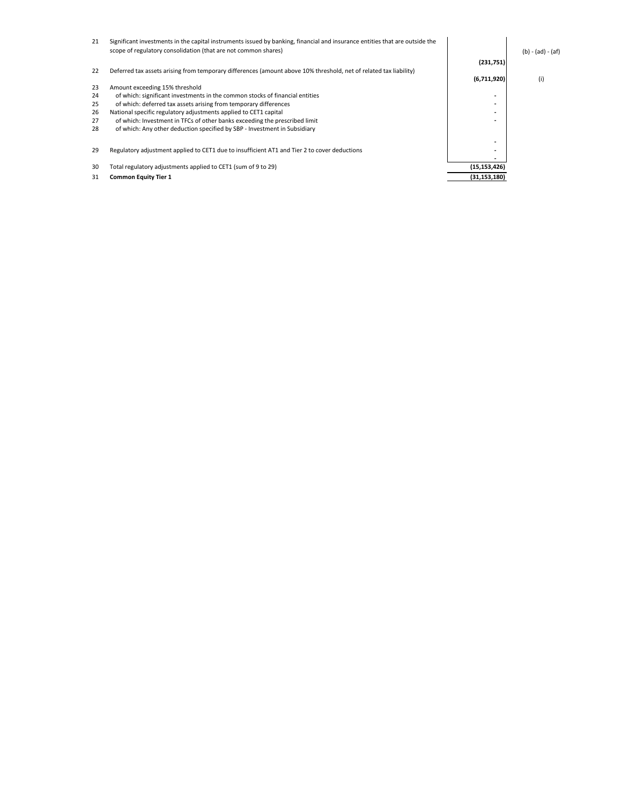| 21 | Significant investments in the capital instruments issued by banking, financial and insurance entities that are outside the<br>scope of regulatory consolidation (that are not common shares) |                | $(b) - (ad) - (af)$ |
|----|-----------------------------------------------------------------------------------------------------------------------------------------------------------------------------------------------|----------------|---------------------|
|    |                                                                                                                                                                                               | (231,751)      |                     |
| 22 | Deferred tax assets arising from temporary differences (amount above 10% threshold, net of related tax liability)                                                                             | (6,711,920)    | (i)                 |
| 23 | Amount exceeding 15% threshold                                                                                                                                                                |                |                     |
| 24 | of which: significant investments in the common stocks of financial entities                                                                                                                  | -              |                     |
| 25 | of which: deferred tax assets arising from temporary differences                                                                                                                              |                |                     |
| 26 | National specific regulatory adjustments applied to CET1 capital                                                                                                                              | ۰              |                     |
| 27 | of which: Investment in TFCs of other banks exceeding the prescribed limit                                                                                                                    | ۰              |                     |
| 28 | of which: Any other deduction specified by SBP - Investment in Subsidiary                                                                                                                     |                |                     |
| 29 | Regulatory adjustment applied to CET1 due to insufficient AT1 and Tier 2 to cover deductions                                                                                                  | ۰<br>-         |                     |
|    |                                                                                                                                                                                               |                |                     |
| 30 | Total regulatory adjustments applied to CET1 (sum of 9 to 29)                                                                                                                                 | (15, 153, 426) |                     |
| 31 | <b>Common Equity Tier 1</b>                                                                                                                                                                   | (31, 153, 180) |                     |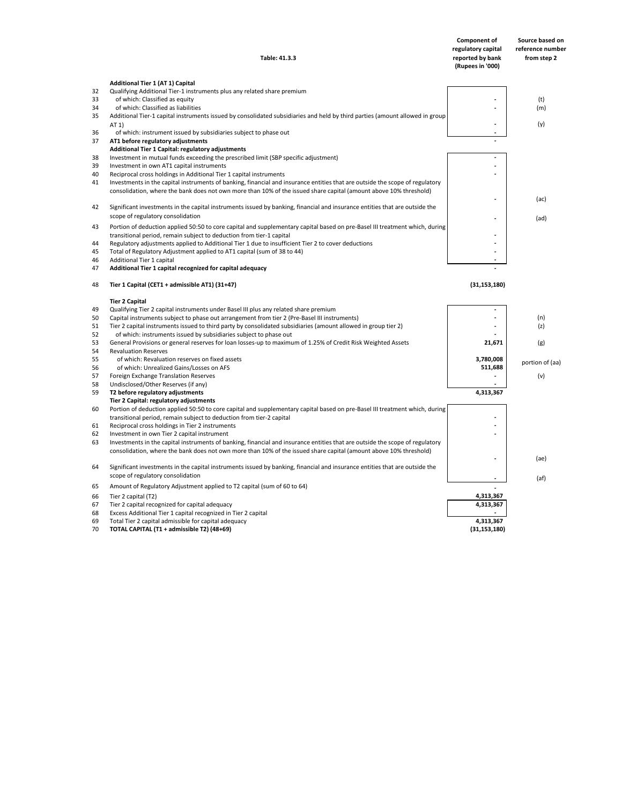| <b>Component of</b> | Source based on  |
|---------------------|------------------|
| regulatory capital  | reference number |
| reported by bank    | from step 2      |
| (Rupees in '000)    |                  |

|          | <b>Additional Tier 1 (AT 1) Capital</b>                                                                                              |                |                 |
|----------|--------------------------------------------------------------------------------------------------------------------------------------|----------------|-----------------|
| 32       | Qualifying Additional Tier-1 instruments plus any related share premium                                                              |                |                 |
| 33       | of which: Classified as equity                                                                                                       |                | (t)             |
| 34       | of which: Classified as liabilities                                                                                                  |                | (m)             |
| 35       | Additional Tier-1 capital instruments issued by consolidated subsidiaries and held by third parties (amount allowed in group<br>AT 1 |                | (y)             |
| 36       | of which: instrument issued by subsidiaries subject to phase out                                                                     |                |                 |
| 37       | AT1 before regulatory adjustments                                                                                                    |                |                 |
|          | Additional Tier 1 Capital: regulatory adjustments                                                                                    |                |                 |
| 38       | Investment in mutual funds exceeding the prescribed limit (SBP specific adjustment)                                                  |                |                 |
| 39       | Investment in own AT1 capital instruments                                                                                            |                |                 |
| 40       | Reciprocal cross holdings in Additional Tier 1 capital instruments                                                                   |                |                 |
| 41       | Investments in the capital instruments of banking, financial and insurance entities that are outside the scope of regulatory         |                |                 |
|          | consolidation, where the bank does not own more than 10% of the issued share capital (amount above 10% threshold)                    |                |                 |
|          |                                                                                                                                      |                | (ac)            |
| 42       | Significant investments in the capital instruments issued by banking, financial and insurance entities that are outside the          |                |                 |
|          | scope of regulatory consolidation                                                                                                    |                | (ad)            |
| 43       | Portion of deduction applied 50:50 to core capital and supplementary capital based on pre-Basel III treatment which, during          |                |                 |
|          | transitional period, remain subject to deduction from tier-1 capital                                                                 |                |                 |
| 44       | Regulatory adjustments applied to Additional Tier 1 due to insufficient Tier 2 to cover deductions                                   |                |                 |
| 45       | Total of Regulatory Adjustment applied to AT1 capital (sum of 38 to 44)                                                              |                |                 |
| 46       | Additional Tier 1 capital                                                                                                            |                |                 |
| 47       | Additional Tier 1 capital recognized for capital adequacy                                                                            |                |                 |
| 48       | Tier 1 Capital (CET1 + admissible AT1) (31+47)                                                                                       | (31, 153, 180) |                 |
|          | <b>Tier 2 Capital</b>                                                                                                                |                |                 |
| 49       | Qualifying Tier 2 capital instruments under Basel III plus any related share premium                                                 |                |                 |
| 50       | Capital instruments subject to phase out arrangement from tier 2 (Pre-Basel III instruments)                                         |                | (n)             |
| 51       | Tier 2 capital instruments issued to third party by consolidated subsidiaries (amount allowed in group tier 2)                       |                | (z)             |
| 52       | of which: instruments issued by subsidiaries subject to phase out                                                                    |                |                 |
| 53       | General Provisions or general reserves for loan losses-up to maximum of 1.25% of Credit Risk Weighted Assets                         | 21,671         | (g)             |
| 54       | <b>Revaluation Reserves</b>                                                                                                          |                |                 |
| 55       | of which: Revaluation reserves on fixed assets                                                                                       | 3,780,008      | portion of (aa) |
| 56       | of which: Unrealized Gains/Losses on AFS                                                                                             | 511,688        |                 |
| 57       | Foreign Exchange Translation Reserves                                                                                                |                | (v)             |
| 58<br>59 | Undisclosed/Other Reserves (if any)<br>T2 before regulatory adjustments                                                              | 4,313,367      |                 |
|          | Tier 2 Capital: regulatory adjustments                                                                                               |                |                 |
| 60       | Portion of deduction applied 50:50 to core capital and supplementary capital based on pre-Basel III treatment which, during          |                |                 |
|          | transitional period, remain subject to deduction from tier-2 capital                                                                 |                |                 |
| 61       | Reciprocal cross holdings in Tier 2 instruments                                                                                      |                |                 |
| 62       | Investment in own Tier 2 capital instrument                                                                                          |                |                 |
| 63       | Investments in the capital instruments of banking, financial and insurance entities that are outside the scope of regulatory         |                |                 |
|          | consolidation, where the bank does not own more than 10% of the issued share capital (amount above 10% threshold)                    |                |                 |
| 64       | Significant investments in the capital instruments issued by banking, financial and insurance entities that are outside the          |                | (ae)            |
|          | scope of regulatory consolidation                                                                                                    |                | (af)            |
| 65       | Amount of Regulatory Adjustment applied to T2 capital (sum of 60 to 64)                                                              |                |                 |
| 66       | Tier 2 capital (T2)                                                                                                                  | 4,313,367      |                 |
| 67       | Tier 2 capital recognized for capital adequacy                                                                                       | 4,313,367      |                 |
| 68       | Excess Additional Tier 1 capital recognized in Tier 2 capital                                                                        |                |                 |
| 69       | Total Tier 2 capital admissible for capital adequacy                                                                                 | 4,313,367      |                 |
| 70       | TOTAL CAPITAL (T1 + admissible T2) (48+69)                                                                                           | (31, 153, 180) |                 |

**Table: 41.3.3**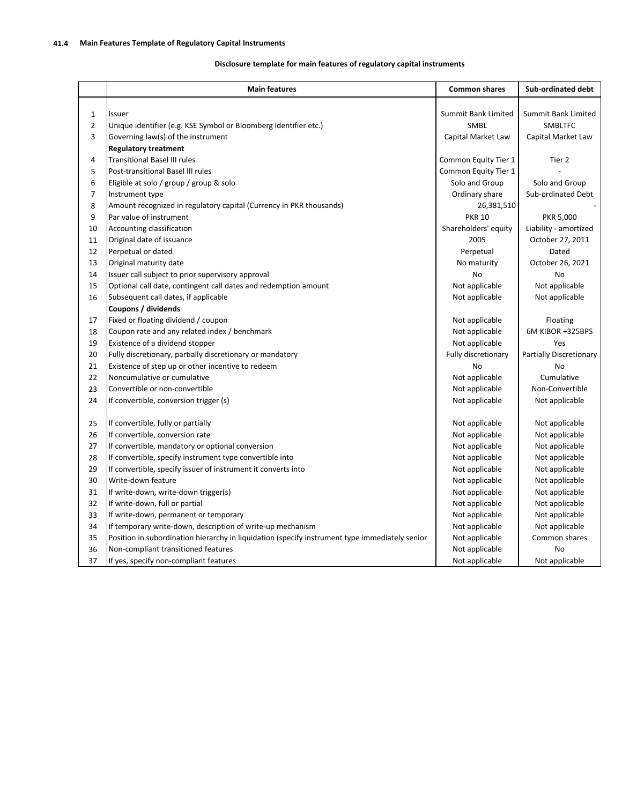## **Disclosure template for main features of regulatory capital instruments**

|                | <b>Main features</b>                                                                           | <b>Common shares</b> | Sub-ordinated debt      |
|----------------|------------------------------------------------------------------------------------------------|----------------------|-------------------------|
|                |                                                                                                |                      |                         |
| $\mathbf{1}$   | Issuer                                                                                         | Summit Bank Limited  | Summit Bank Limited     |
| $\overline{2}$ | Unique identifier (e.g. KSE Symbol or Bloomberg identifier etc.)                               | <b>SMBL</b>          | <b>SMBLTFC</b>          |
| 3              | Governing law(s) of the instrument                                                             | Capital Market Law   | Capital Market Law      |
|                | <b>Regulatory treatment</b>                                                                    |                      |                         |
| 4              | <b>Transitional Basel III rules</b>                                                            | Common Equity Tier 1 | Tier 2                  |
| 5              | Post-transitional Basel III rules                                                              | Common Equity Tier 1 |                         |
| 6              | Eligible at solo / group / group & solo                                                        | Solo and Group       | Solo and Group          |
| $\overline{7}$ | Instrument type                                                                                | Ordinary share       | Sub-ordinated Debt      |
| 8              | Amount recognized in regulatory capital (Currency in PKR thousands)                            | 26,381,510           |                         |
| 9              | Par value of instrument                                                                        | <b>PKR 10</b>        | PKR 5,000               |
| 10             | Accounting classification                                                                      | Shareholders' equity | Liability - amortized   |
| 11             | Original date of issuance                                                                      | 2005                 | October 27, 2011        |
| 12             | Perpetual or dated                                                                             | Perpetual            | Dated                   |
| 13             | Original maturity date                                                                         | No maturity          | October 26, 2021        |
| 14             | Issuer call subject to prior supervisory approval                                              | No                   | No                      |
| 15             | Optional call date, contingent call dates and redemption amount                                | Not applicable       | Not applicable          |
| 16             | Subsequent call dates, if applicable                                                           | Not applicable       | Not applicable          |
|                | Coupons / dividends                                                                            |                      |                         |
| 17             | Fixed or floating dividend / coupon                                                            | Not applicable       | Floating                |
| 18             | Coupon rate and any related index / benchmark                                                  | Not applicable       | 6M KIBOR +325BPS        |
| 19             | Existence of a dividend stopper                                                                | Not applicable       | Yes                     |
| 20             | Fully discretionary, partially discretionary or mandatory                                      | Fully discretionary  | Partially Discretionary |
| 21             | Existence of step up or other incentive to redeem                                              | No                   | No                      |
| 22             | Noncumulative or cumulative                                                                    | Not applicable       | Cumulative              |
| 23             | Convertible or non-convertible                                                                 | Not applicable       | Non-Convertible         |
| 24             | If convertible, conversion trigger (s)                                                         | Not applicable       | Not applicable          |
| 25             | If convertible, fully or partially                                                             | Not applicable       | Not applicable          |
| 26             | If convertible, conversion rate                                                                | Not applicable       | Not applicable          |
| 27             | If convertible, mandatory or optional conversion                                               | Not applicable       | Not applicable          |
| 28             | If convertible, specify instrument type convertible into                                       | Not applicable       | Not applicable          |
| 29             | If convertible, specify issuer of instrument it converts into                                  | Not applicable       | Not applicable          |
| 30             | Write-down feature                                                                             | Not applicable       | Not applicable          |
| 31             | If write-down, write-down trigger(s)                                                           | Not applicable       | Not applicable          |
| 32             | If write-down, full or partial                                                                 | Not applicable       | Not applicable          |
| 33             | If write-down, permanent or temporary                                                          | Not applicable       | Not applicable          |
| 34             | If temporary write-down, description of write-up mechanism                                     | Not applicable       | Not applicable          |
| 35             | Position in subordination hierarchy in liquidation (specify instrument type immediately senior | Not applicable       | Common shares           |
| 36             | Non-compliant transitioned features                                                            | Not applicable       | No                      |
| 37             | If yes, specify non-compliant features                                                         | Not applicable       | Not applicable          |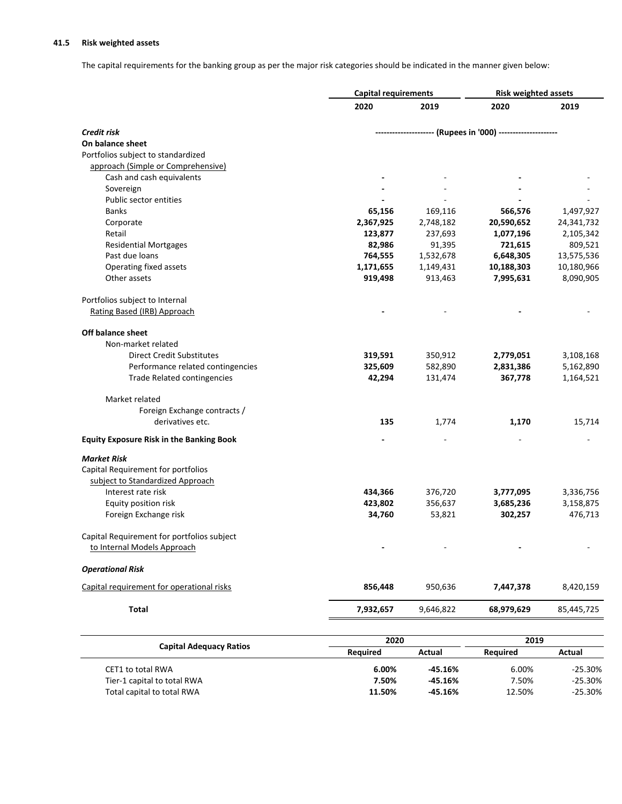# **41.5 Risk weighted assets**

The capital requirements for the banking group as per the major risk categories should be indicated in the manner given below:

|                                                 | <b>Capital requirements</b> |           | <b>Risk weighted assets</b>                                  |            |
|-------------------------------------------------|-----------------------------|-----------|--------------------------------------------------------------|------------|
|                                                 | 2020                        | 2019      | 2020                                                         | 2019       |
| Credit risk                                     |                             |           | --------------------- (Rupees in '000) --------------------- |            |
| On balance sheet                                |                             |           |                                                              |            |
| Portfolios subject to standardized              |                             |           |                                                              |            |
| approach (Simple or Comprehensive)              |                             |           |                                                              |            |
| Cash and cash equivalents                       |                             |           |                                                              |            |
| Sovereign                                       |                             |           |                                                              |            |
| Public sector entities                          |                             |           |                                                              |            |
| <b>Banks</b>                                    | 65,156                      | 169,116   | 566,576                                                      | 1,497,927  |
| Corporate                                       | 2,367,925                   | 2,748,182 | 20,590,652                                                   | 24,341,732 |
| Retail                                          | 123,877                     | 237,693   | 1,077,196                                                    | 2,105,342  |
| <b>Residential Mortgages</b>                    | 82,986                      | 91,395    | 721,615                                                      | 809,521    |
| Past due loans                                  | 764,555                     | 1,532,678 | 6,648,305                                                    | 13,575,536 |
| Operating fixed assets                          | 1,171,655                   | 1,149,431 | 10,188,303                                                   | 10,180,966 |
| Other assets                                    | 919,498                     | 913,463   | 7,995,631                                                    | 8,090,905  |
| Portfolios subject to Internal                  |                             |           |                                                              |            |
| Rating Based (IRB) Approach                     |                             |           |                                                              |            |
| <b>Off balance sheet</b>                        |                             |           |                                                              |            |
| Non-market related                              |                             |           |                                                              |            |
| <b>Direct Credit Substitutes</b>                | 319,591                     | 350,912   | 2,779,051                                                    | 3,108,168  |
| Performance related contingencies               | 325,609                     | 582,890   | 2,831,386                                                    | 5,162,890  |
| <b>Trade Related contingencies</b>              | 42,294                      | 131,474   | 367,778                                                      | 1,164,521  |
| Market related                                  |                             |           |                                                              |            |
| Foreign Exchange contracts /                    |                             |           |                                                              |            |
| derivatives etc.                                | 135                         | 1,774     | 1,170                                                        | 15,714     |
| <b>Equity Exposure Risk in the Banking Book</b> |                             |           |                                                              |            |
| <b>Market Risk</b>                              |                             |           |                                                              |            |
| Capital Requirement for portfolios              |                             |           |                                                              |            |
| subject to Standardized Approach                |                             |           |                                                              |            |
| Interest rate risk                              | 434,366                     | 376,720   | 3,777,095                                                    | 3,336,756  |
| Equity position risk                            | 423,802                     | 356,637   | 3,685,236                                                    | 3,158,875  |
| Foreign Exchange risk                           | 34,760                      | 53,821    | 302,257                                                      | 476,713    |
| Capital Requirement for portfolios subject      |                             |           |                                                              |            |
| to Internal Models Approach                     |                             |           |                                                              |            |
| <b>Operational Risk</b>                         |                             |           |                                                              |            |
| Capital requirement for operational risks       | 856,448                     | 950,636   | 7,447,378                                                    | 8,420,159  |
| <b>Total</b>                                    | 7,932,657                   | 9,646,822 | 68,979,629                                                   | 85,445,725 |
|                                                 |                             |           |                                                              |            |

|                                | 2020            |           | 2019     |           |
|--------------------------------|-----------------|-----------|----------|-----------|
| <b>Capital Adequacy Ratios</b> | <b>Required</b> | Actual    | Reauired | Actual    |
| CET1 to total RWA              | 6.00%           | $-45.16%$ | 6.00%    | $-25.30%$ |
| Tier-1 capital to total RWA    | 7.50%           | $-45.16%$ | 7.50%    | $-25.30%$ |
| Total capital to total RWA     | 11.50%          | $-45.16%$ | 12.50%   | $-25.30%$ |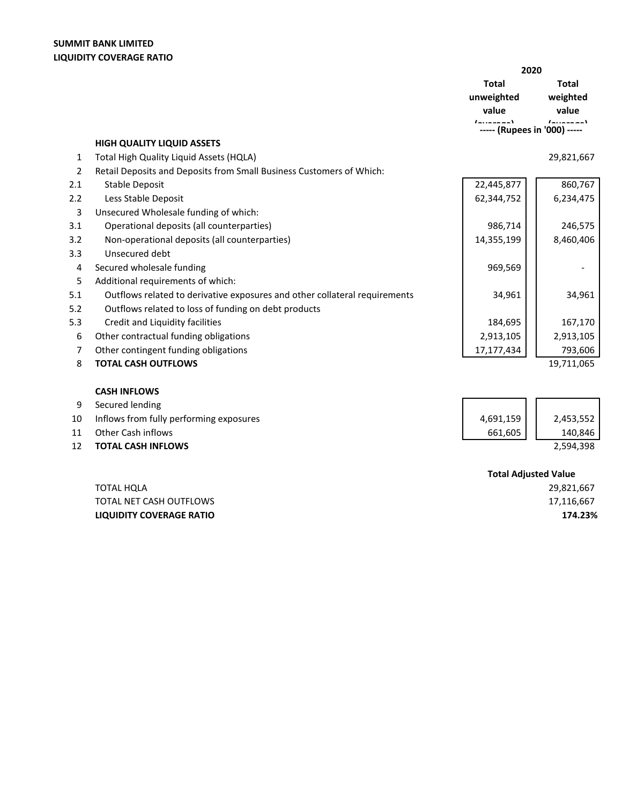**HIGH QUALITY LIQUID ASSETS**

| 2020                                              |                 |
|---------------------------------------------------|-----------------|
| Total                                             | Total           |
| unweighted                                        | weighted        |
| value                                             | value           |
| - - - - - - - - 1<br>----- (Rupees in '000) ----- | $1 - 1 - 1 - 1$ |

# 1 29,821,667 Total High Quality Liquid Assets (HQLA)

| 2   | Retail Deposits and Deposits from Small Business Customers of Which:       |            |                             |
|-----|----------------------------------------------------------------------------|------------|-----------------------------|
| 2.1 | <b>Stable Deposit</b>                                                      | 22,445,877 | 860,767                     |
| 2.2 | Less Stable Deposit                                                        | 62,344,752 | 6,234,475                   |
| 3   | Unsecured Wholesale funding of which:                                      |            |                             |
| 3.1 | Operational deposits (all counterparties)                                  | 986,714    | 246,575                     |
| 3.2 | Non-operational deposits (all counterparties)                              | 14,355,199 | 8,460,406                   |
| 3.3 | Unsecured debt                                                             |            |                             |
| 4   | Secured wholesale funding                                                  | 969,569    |                             |
| 5   | Additional requirements of which:                                          |            |                             |
| 5.1 | Outflows related to derivative exposures and other collateral requirements | 34,961     | 34,961                      |
| 5.2 | Outflows related to loss of funding on debt products                       |            |                             |
| 5.3 | Credit and Liquidity facilities                                            | 184,695    | 167,170                     |
| 6   | Other contractual funding obligations                                      | 2,913,105  | 2,913,105                   |
| 7   | Other contingent funding obligations                                       | 17,177,434 | 793,606                     |
| 8   | <b>TOTAL CASH OUTFLOWS</b>                                                 |            | 19,711,065                  |
|     |                                                                            |            |                             |
|     | <b>CASH INFLOWS</b>                                                        |            |                             |
| 9   | Secured lending                                                            |            |                             |
| 10  | Inflows from fully performing exposures                                    | 4,691,159  | 2,453,552                   |
| 11  | Other Cash inflows                                                         | 661,605    | 140,846                     |
| 12  | <b>TOTAL CASH INFLOWS</b>                                                  |            | 2,594,398                   |
|     |                                                                            |            |                             |
|     |                                                                            |            | <b>Total Adjusted Value</b> |

TOTAL HQLA TOTAL NET CASH OUTFLOWS **LIQUIDITY COVERAGE RATIO** **Total Adjusted Value**

 29,821,667 17,116,667 **174.23%**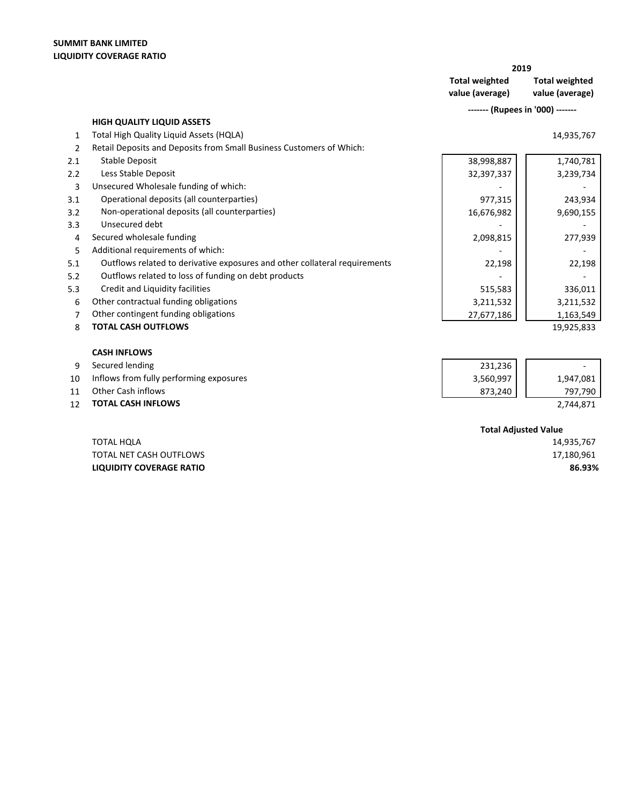**2019**

**Total weighted value (average) Total weighted value (average)**

 **------- (Rupees in '000) -------**

|                | <b>HIGH QUALITY LIQUID ASSETS</b>                                          |            |            |
|----------------|----------------------------------------------------------------------------|------------|------------|
| 1              | Total High Quality Liquid Assets (HQLA)                                    |            | 14,935,767 |
| $\overline{2}$ | Retail Deposits and Deposits from Small Business Customers of Which:       |            |            |
| 2.1            | Stable Deposit                                                             | 38,998,887 | 1,740,781  |
| 2.2            | Less Stable Deposit                                                        | 32,397,337 | 3,239,734  |
| 3              | Unsecured Wholesale funding of which:                                      |            |            |
| 3.1            | Operational deposits (all counterparties)                                  | 977,315    | 243,934    |
| 3.2            | Non-operational deposits (all counterparties)                              | 16,676,982 | 9,690,155  |
| 3.3            | Unsecured debt                                                             |            |            |
| 4              | Secured wholesale funding                                                  | 2,098,815  | 277,939    |
| 5              | Additional requirements of which:                                          |            |            |
| 5.1            | Outflows related to derivative exposures and other collateral requirements | 22,198     | 22,198     |
| 5.2            | Outflows related to loss of funding on debt products                       |            |            |
| 5.3            | Credit and Liquidity facilities                                            | 515,583    | 336,011    |
| 6              | Other contractual funding obligations                                      | 3,211,532  | 3,211,532  |
| 7              | Other contingent funding obligations                                       | 27,677,186 | 1,163,549  |
| 8              | <b>TOTAL CASH OUTFLOWS</b>                                                 |            | 19,925,833 |
|                |                                                                            |            |            |
|                | <b>CASH INFLOWS</b>                                                        |            |            |
| 9              | Secured lending                                                            | 231,236    |            |
| 10             | Inflows from fully performing exposures                                    | 3,560,997  | 1,947,081  |
| 11             | <b>Other Cash inflows</b>                                                  | 873,240    | 797,790    |
| 12             | <b>TOTAL CASH INFLOWS</b>                                                  |            | 2,744,871  |
|                |                                                                            |            |            |

|                                 | <b>Total Adjusted Value</b> |
|---------------------------------|-----------------------------|
| TOTAL HOLA                      | 14,935,767                  |
| TOTAL NET CASH OUTFLOWS         | 17,180,961                  |
| <b>LIQUIDITY COVERAGE RATIO</b> | 86.93%                      |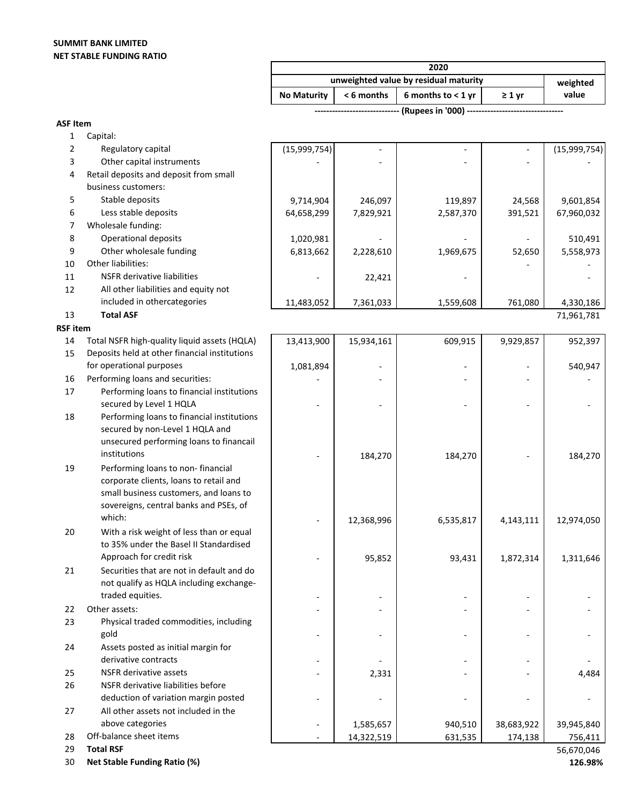# **SUMMIT BANK LIMITED NET STABLE FUNDING RATIO**

| unweighted value by residual maturity |  |                                           |             | weighted |
|---------------------------------------|--|-------------------------------------------|-------------|----------|
| <b>No Maturity</b>                    |  | $\leq 6$ months   6 months to $\leq 1$ yr | $\geq 1$ vr | value    |

 **----------------------------- (Rupees in '000) ---------------------------------** 

| $\overline{2}$<br>Regulatory capital<br>3<br>Other capital instruments<br>Retail deposits and deposit from small<br>4<br>business customers:<br>5<br>Stable deposits<br>246,097<br>119,897<br>9,601,854<br>9,714,904<br>24,568<br>Less stable deposits<br>6<br>7,829,921<br>2,587,370<br>391,521<br>64,658,299<br>67,960,032<br>Wholesale funding:<br>7<br>8<br>Operational deposits<br>1,020,981<br>510,491<br>9<br>Other wholesale funding<br>6,813,662<br>52,650<br>5,558,973<br>2,228,610<br>1,969,675<br>10<br>Other liabilities:<br>11<br><b>NSFR</b> derivative liabilities<br>22,421<br>12<br>All other liabilities and equity not<br>included in othercategories<br>11,483,052<br>7,361,033<br>1,559,608<br>761,080<br>4,330,186<br><b>Total ASF</b><br>13<br>71,961,781<br><b>RSF</b> item<br>14<br>Total NSFR high-quality liquid assets (HQLA)<br>13,413,900<br>15,934,161<br>609,915<br>9,929,857<br>952,397<br>15<br>Deposits held at other financial institutions<br>for operational purposes<br>540,947<br>1,081,894<br>Performing loans and securities:<br>16<br>17<br>Performing loans to financial institutions<br>secured by Level 1 HQLA<br>Performing loans to financial institutions<br>18<br>secured by non-Level 1 HQLA and<br>unsecured performing loans to financail<br>institutions<br>184,270<br>184,270<br>184,270<br>Performing loans to non-financial<br>19<br>corporate clients, loans to retail and<br>small business customers, and loans to<br>sovereigns, central banks and PSEs, of<br>which:<br>6,535,817<br>4,143,111<br>12,368,996<br>12,974,050<br>With a risk weight of less than or equal<br>20<br>to 35% under the Basel II Standardised<br>Approach for credit risk<br>1,872,314<br>95,852<br>93,431<br>1,311,646<br>Securities that are not in default and do<br>21<br>not qualify as HQLA including exchange-<br>traded equities.<br>Other assets:<br>22<br>23<br>Physical traded commodities, including<br>gold<br>Assets posted as initial margin for<br>24<br>derivative contracts<br><b>NSFR</b> derivative assets<br>25<br>2,331<br>4,484<br>26<br>NSFR derivative liabilities before<br>deduction of variation margin posted<br>27<br>All other assets not included in the<br>above categories<br>38,683,922<br>1,585,657<br>940,510<br>39,945,840<br>Off-balance sheet items<br>28<br>14,322,519<br>631,535<br>174,138<br>756,411<br><b>Total RSF</b><br>29<br>56,670,046 | 1 | Capital: |              |  |              |
|----------------------------------------------------------------------------------------------------------------------------------------------------------------------------------------------------------------------------------------------------------------------------------------------------------------------------------------------------------------------------------------------------------------------------------------------------------------------------------------------------------------------------------------------------------------------------------------------------------------------------------------------------------------------------------------------------------------------------------------------------------------------------------------------------------------------------------------------------------------------------------------------------------------------------------------------------------------------------------------------------------------------------------------------------------------------------------------------------------------------------------------------------------------------------------------------------------------------------------------------------------------------------------------------------------------------------------------------------------------------------------------------------------------------------------------------------------------------------------------------------------------------------------------------------------------------------------------------------------------------------------------------------------------------------------------------------------------------------------------------------------------------------------------------------------------------------------------------------------------------------------------------------------------------------------------------------------------------------------------------------------------------------------------------------------------------------------------------------------------------------------------------------------------------------------------------------------------------------------------------------------------------------------------------------------------------------------------------------------------------------------------------------------------------------------|---|----------|--------------|--|--------------|
|                                                                                                                                                                                                                                                                                                                                                                                                                                                                                                                                                                                                                                                                                                                                                                                                                                                                                                                                                                                                                                                                                                                                                                                                                                                                                                                                                                                                                                                                                                                                                                                                                                                                                                                                                                                                                                                                                                                                                                                                                                                                                                                                                                                                                                                                                                                                                                                                                                  |   |          | (15,999,754) |  | (15,999,754) |
|                                                                                                                                                                                                                                                                                                                                                                                                                                                                                                                                                                                                                                                                                                                                                                                                                                                                                                                                                                                                                                                                                                                                                                                                                                                                                                                                                                                                                                                                                                                                                                                                                                                                                                                                                                                                                                                                                                                                                                                                                                                                                                                                                                                                                                                                                                                                                                                                                                  |   |          |              |  |              |
|                                                                                                                                                                                                                                                                                                                                                                                                                                                                                                                                                                                                                                                                                                                                                                                                                                                                                                                                                                                                                                                                                                                                                                                                                                                                                                                                                                                                                                                                                                                                                                                                                                                                                                                                                                                                                                                                                                                                                                                                                                                                                                                                                                                                                                                                                                                                                                                                                                  |   |          |              |  |              |
|                                                                                                                                                                                                                                                                                                                                                                                                                                                                                                                                                                                                                                                                                                                                                                                                                                                                                                                                                                                                                                                                                                                                                                                                                                                                                                                                                                                                                                                                                                                                                                                                                                                                                                                                                                                                                                                                                                                                                                                                                                                                                                                                                                                                                                                                                                                                                                                                                                  |   |          |              |  |              |
|                                                                                                                                                                                                                                                                                                                                                                                                                                                                                                                                                                                                                                                                                                                                                                                                                                                                                                                                                                                                                                                                                                                                                                                                                                                                                                                                                                                                                                                                                                                                                                                                                                                                                                                                                                                                                                                                                                                                                                                                                                                                                                                                                                                                                                                                                                                                                                                                                                  |   |          |              |  |              |
|                                                                                                                                                                                                                                                                                                                                                                                                                                                                                                                                                                                                                                                                                                                                                                                                                                                                                                                                                                                                                                                                                                                                                                                                                                                                                                                                                                                                                                                                                                                                                                                                                                                                                                                                                                                                                                                                                                                                                                                                                                                                                                                                                                                                                                                                                                                                                                                                                                  |   |          |              |  |              |
|                                                                                                                                                                                                                                                                                                                                                                                                                                                                                                                                                                                                                                                                                                                                                                                                                                                                                                                                                                                                                                                                                                                                                                                                                                                                                                                                                                                                                                                                                                                                                                                                                                                                                                                                                                                                                                                                                                                                                                                                                                                                                                                                                                                                                                                                                                                                                                                                                                  |   |          |              |  |              |
|                                                                                                                                                                                                                                                                                                                                                                                                                                                                                                                                                                                                                                                                                                                                                                                                                                                                                                                                                                                                                                                                                                                                                                                                                                                                                                                                                                                                                                                                                                                                                                                                                                                                                                                                                                                                                                                                                                                                                                                                                                                                                                                                                                                                                                                                                                                                                                                                                                  |   |          |              |  |              |
|                                                                                                                                                                                                                                                                                                                                                                                                                                                                                                                                                                                                                                                                                                                                                                                                                                                                                                                                                                                                                                                                                                                                                                                                                                                                                                                                                                                                                                                                                                                                                                                                                                                                                                                                                                                                                                                                                                                                                                                                                                                                                                                                                                                                                                                                                                                                                                                                                                  |   |          |              |  |              |
|                                                                                                                                                                                                                                                                                                                                                                                                                                                                                                                                                                                                                                                                                                                                                                                                                                                                                                                                                                                                                                                                                                                                                                                                                                                                                                                                                                                                                                                                                                                                                                                                                                                                                                                                                                                                                                                                                                                                                                                                                                                                                                                                                                                                                                                                                                                                                                                                                                  |   |          |              |  |              |
|                                                                                                                                                                                                                                                                                                                                                                                                                                                                                                                                                                                                                                                                                                                                                                                                                                                                                                                                                                                                                                                                                                                                                                                                                                                                                                                                                                                                                                                                                                                                                                                                                                                                                                                                                                                                                                                                                                                                                                                                                                                                                                                                                                                                                                                                                                                                                                                                                                  |   |          |              |  |              |
|                                                                                                                                                                                                                                                                                                                                                                                                                                                                                                                                                                                                                                                                                                                                                                                                                                                                                                                                                                                                                                                                                                                                                                                                                                                                                                                                                                                                                                                                                                                                                                                                                                                                                                                                                                                                                                                                                                                                                                                                                                                                                                                                                                                                                                                                                                                                                                                                                                  |   |          |              |  |              |
|                                                                                                                                                                                                                                                                                                                                                                                                                                                                                                                                                                                                                                                                                                                                                                                                                                                                                                                                                                                                                                                                                                                                                                                                                                                                                                                                                                                                                                                                                                                                                                                                                                                                                                                                                                                                                                                                                                                                                                                                                                                                                                                                                                                                                                                                                                                                                                                                                                  |   |          |              |  |              |
|                                                                                                                                                                                                                                                                                                                                                                                                                                                                                                                                                                                                                                                                                                                                                                                                                                                                                                                                                                                                                                                                                                                                                                                                                                                                                                                                                                                                                                                                                                                                                                                                                                                                                                                                                                                                                                                                                                                                                                                                                                                                                                                                                                                                                                                                                                                                                                                                                                  |   |          |              |  |              |
|                                                                                                                                                                                                                                                                                                                                                                                                                                                                                                                                                                                                                                                                                                                                                                                                                                                                                                                                                                                                                                                                                                                                                                                                                                                                                                                                                                                                                                                                                                                                                                                                                                                                                                                                                                                                                                                                                                                                                                                                                                                                                                                                                                                                                                                                                                                                                                                                                                  |   |          |              |  |              |
|                                                                                                                                                                                                                                                                                                                                                                                                                                                                                                                                                                                                                                                                                                                                                                                                                                                                                                                                                                                                                                                                                                                                                                                                                                                                                                                                                                                                                                                                                                                                                                                                                                                                                                                                                                                                                                                                                                                                                                                                                                                                                                                                                                                                                                                                                                                                                                                                                                  |   |          |              |  |              |
|                                                                                                                                                                                                                                                                                                                                                                                                                                                                                                                                                                                                                                                                                                                                                                                                                                                                                                                                                                                                                                                                                                                                                                                                                                                                                                                                                                                                                                                                                                                                                                                                                                                                                                                                                                                                                                                                                                                                                                                                                                                                                                                                                                                                                                                                                                                                                                                                                                  |   |          |              |  |              |
|                                                                                                                                                                                                                                                                                                                                                                                                                                                                                                                                                                                                                                                                                                                                                                                                                                                                                                                                                                                                                                                                                                                                                                                                                                                                                                                                                                                                                                                                                                                                                                                                                                                                                                                                                                                                                                                                                                                                                                                                                                                                                                                                                                                                                                                                                                                                                                                                                                  |   |          |              |  |              |
|                                                                                                                                                                                                                                                                                                                                                                                                                                                                                                                                                                                                                                                                                                                                                                                                                                                                                                                                                                                                                                                                                                                                                                                                                                                                                                                                                                                                                                                                                                                                                                                                                                                                                                                                                                                                                                                                                                                                                                                                                                                                                                                                                                                                                                                                                                                                                                                                                                  |   |          |              |  |              |
|                                                                                                                                                                                                                                                                                                                                                                                                                                                                                                                                                                                                                                                                                                                                                                                                                                                                                                                                                                                                                                                                                                                                                                                                                                                                                                                                                                                                                                                                                                                                                                                                                                                                                                                                                                                                                                                                                                                                                                                                                                                                                                                                                                                                                                                                                                                                                                                                                                  |   |          |              |  |              |
|                                                                                                                                                                                                                                                                                                                                                                                                                                                                                                                                                                                                                                                                                                                                                                                                                                                                                                                                                                                                                                                                                                                                                                                                                                                                                                                                                                                                                                                                                                                                                                                                                                                                                                                                                                                                                                                                                                                                                                                                                                                                                                                                                                                                                                                                                                                                                                                                                                  |   |          |              |  |              |
|                                                                                                                                                                                                                                                                                                                                                                                                                                                                                                                                                                                                                                                                                                                                                                                                                                                                                                                                                                                                                                                                                                                                                                                                                                                                                                                                                                                                                                                                                                                                                                                                                                                                                                                                                                                                                                                                                                                                                                                                                                                                                                                                                                                                                                                                                                                                                                                                                                  |   |          |              |  |              |
|                                                                                                                                                                                                                                                                                                                                                                                                                                                                                                                                                                                                                                                                                                                                                                                                                                                                                                                                                                                                                                                                                                                                                                                                                                                                                                                                                                                                                                                                                                                                                                                                                                                                                                                                                                                                                                                                                                                                                                                                                                                                                                                                                                                                                                                                                                                                                                                                                                  |   |          |              |  |              |
|                                                                                                                                                                                                                                                                                                                                                                                                                                                                                                                                                                                                                                                                                                                                                                                                                                                                                                                                                                                                                                                                                                                                                                                                                                                                                                                                                                                                                                                                                                                                                                                                                                                                                                                                                                                                                                                                                                                                                                                                                                                                                                                                                                                                                                                                                                                                                                                                                                  |   |          |              |  |              |
|                                                                                                                                                                                                                                                                                                                                                                                                                                                                                                                                                                                                                                                                                                                                                                                                                                                                                                                                                                                                                                                                                                                                                                                                                                                                                                                                                                                                                                                                                                                                                                                                                                                                                                                                                                                                                                                                                                                                                                                                                                                                                                                                                                                                                                                                                                                                                                                                                                  |   |          |              |  |              |
|                                                                                                                                                                                                                                                                                                                                                                                                                                                                                                                                                                                                                                                                                                                                                                                                                                                                                                                                                                                                                                                                                                                                                                                                                                                                                                                                                                                                                                                                                                                                                                                                                                                                                                                                                                                                                                                                                                                                                                                                                                                                                                                                                                                                                                                                                                                                                                                                                                  |   |          |              |  |              |
|                                                                                                                                                                                                                                                                                                                                                                                                                                                                                                                                                                                                                                                                                                                                                                                                                                                                                                                                                                                                                                                                                                                                                                                                                                                                                                                                                                                                                                                                                                                                                                                                                                                                                                                                                                                                                                                                                                                                                                                                                                                                                                                                                                                                                                                                                                                                                                                                                                  |   |          |              |  |              |
|                                                                                                                                                                                                                                                                                                                                                                                                                                                                                                                                                                                                                                                                                                                                                                                                                                                                                                                                                                                                                                                                                                                                                                                                                                                                                                                                                                                                                                                                                                                                                                                                                                                                                                                                                                                                                                                                                                                                                                                                                                                                                                                                                                                                                                                                                                                                                                                                                                  |   |          |              |  |              |
|                                                                                                                                                                                                                                                                                                                                                                                                                                                                                                                                                                                                                                                                                                                                                                                                                                                                                                                                                                                                                                                                                                                                                                                                                                                                                                                                                                                                                                                                                                                                                                                                                                                                                                                                                                                                                                                                                                                                                                                                                                                                                                                                                                                                                                                                                                                                                                                                                                  |   |          |              |  |              |
|                                                                                                                                                                                                                                                                                                                                                                                                                                                                                                                                                                                                                                                                                                                                                                                                                                                                                                                                                                                                                                                                                                                                                                                                                                                                                                                                                                                                                                                                                                                                                                                                                                                                                                                                                                                                                                                                                                                                                                                                                                                                                                                                                                                                                                                                                                                                                                                                                                  |   |          |              |  |              |
|                                                                                                                                                                                                                                                                                                                                                                                                                                                                                                                                                                                                                                                                                                                                                                                                                                                                                                                                                                                                                                                                                                                                                                                                                                                                                                                                                                                                                                                                                                                                                                                                                                                                                                                                                                                                                                                                                                                                                                                                                                                                                                                                                                                                                                                                                                                                                                                                                                  |   |          |              |  |              |
|                                                                                                                                                                                                                                                                                                                                                                                                                                                                                                                                                                                                                                                                                                                                                                                                                                                                                                                                                                                                                                                                                                                                                                                                                                                                                                                                                                                                                                                                                                                                                                                                                                                                                                                                                                                                                                                                                                                                                                                                                                                                                                                                                                                                                                                                                                                                                                                                                                  |   |          |              |  |              |
|                                                                                                                                                                                                                                                                                                                                                                                                                                                                                                                                                                                                                                                                                                                                                                                                                                                                                                                                                                                                                                                                                                                                                                                                                                                                                                                                                                                                                                                                                                                                                                                                                                                                                                                                                                                                                                                                                                                                                                                                                                                                                                                                                                                                                                                                                                                                                                                                                                  |   |          |              |  |              |
|                                                                                                                                                                                                                                                                                                                                                                                                                                                                                                                                                                                                                                                                                                                                                                                                                                                                                                                                                                                                                                                                                                                                                                                                                                                                                                                                                                                                                                                                                                                                                                                                                                                                                                                                                                                                                                                                                                                                                                                                                                                                                                                                                                                                                                                                                                                                                                                                                                  |   |          |              |  |              |
|                                                                                                                                                                                                                                                                                                                                                                                                                                                                                                                                                                                                                                                                                                                                                                                                                                                                                                                                                                                                                                                                                                                                                                                                                                                                                                                                                                                                                                                                                                                                                                                                                                                                                                                                                                                                                                                                                                                                                                                                                                                                                                                                                                                                                                                                                                                                                                                                                                  |   |          |              |  |              |
|                                                                                                                                                                                                                                                                                                                                                                                                                                                                                                                                                                                                                                                                                                                                                                                                                                                                                                                                                                                                                                                                                                                                                                                                                                                                                                                                                                                                                                                                                                                                                                                                                                                                                                                                                                                                                                                                                                                                                                                                                                                                                                                                                                                                                                                                                                                                                                                                                                  |   |          |              |  |              |
|                                                                                                                                                                                                                                                                                                                                                                                                                                                                                                                                                                                                                                                                                                                                                                                                                                                                                                                                                                                                                                                                                                                                                                                                                                                                                                                                                                                                                                                                                                                                                                                                                                                                                                                                                                                                                                                                                                                                                                                                                                                                                                                                                                                                                                                                                                                                                                                                                                  |   |          |              |  |              |
|                                                                                                                                                                                                                                                                                                                                                                                                                                                                                                                                                                                                                                                                                                                                                                                                                                                                                                                                                                                                                                                                                                                                                                                                                                                                                                                                                                                                                                                                                                                                                                                                                                                                                                                                                                                                                                                                                                                                                                                                                                                                                                                                                                                                                                                                                                                                                                                                                                  |   |          |              |  |              |
|                                                                                                                                                                                                                                                                                                                                                                                                                                                                                                                                                                                                                                                                                                                                                                                                                                                                                                                                                                                                                                                                                                                                                                                                                                                                                                                                                                                                                                                                                                                                                                                                                                                                                                                                                                                                                                                                                                                                                                                                                                                                                                                                                                                                                                                                                                                                                                                                                                  |   |          |              |  |              |
|                                                                                                                                                                                                                                                                                                                                                                                                                                                                                                                                                                                                                                                                                                                                                                                                                                                                                                                                                                                                                                                                                                                                                                                                                                                                                                                                                                                                                                                                                                                                                                                                                                                                                                                                                                                                                                                                                                                                                                                                                                                                                                                                                                                                                                                                                                                                                                                                                                  |   |          |              |  |              |
|                                                                                                                                                                                                                                                                                                                                                                                                                                                                                                                                                                                                                                                                                                                                                                                                                                                                                                                                                                                                                                                                                                                                                                                                                                                                                                                                                                                                                                                                                                                                                                                                                                                                                                                                                                                                                                                                                                                                                                                                                                                                                                                                                                                                                                                                                                                                                                                                                                  |   |          |              |  |              |
|                                                                                                                                                                                                                                                                                                                                                                                                                                                                                                                                                                                                                                                                                                                                                                                                                                                                                                                                                                                                                                                                                                                                                                                                                                                                                                                                                                                                                                                                                                                                                                                                                                                                                                                                                                                                                                                                                                                                                                                                                                                                                                                                                                                                                                                                                                                                                                                                                                  |   |          |              |  |              |
|                                                                                                                                                                                                                                                                                                                                                                                                                                                                                                                                                                                                                                                                                                                                                                                                                                                                                                                                                                                                                                                                                                                                                                                                                                                                                                                                                                                                                                                                                                                                                                                                                                                                                                                                                                                                                                                                                                                                                                                                                                                                                                                                                                                                                                                                                                                                                                                                                                  |   |          |              |  |              |
|                                                                                                                                                                                                                                                                                                                                                                                                                                                                                                                                                                                                                                                                                                                                                                                                                                                                                                                                                                                                                                                                                                                                                                                                                                                                                                                                                                                                                                                                                                                                                                                                                                                                                                                                                                                                                                                                                                                                                                                                                                                                                                                                                                                                                                                                                                                                                                                                                                  |   |          |              |  |              |
|                                                                                                                                                                                                                                                                                                                                                                                                                                                                                                                                                                                                                                                                                                                                                                                                                                                                                                                                                                                                                                                                                                                                                                                                                                                                                                                                                                                                                                                                                                                                                                                                                                                                                                                                                                                                                                                                                                                                                                                                                                                                                                                                                                                                                                                                                                                                                                                                                                  |   |          |              |  |              |
|                                                                                                                                                                                                                                                                                                                                                                                                                                                                                                                                                                                                                                                                                                                                                                                                                                                                                                                                                                                                                                                                                                                                                                                                                                                                                                                                                                                                                                                                                                                                                                                                                                                                                                                                                                                                                                                                                                                                                                                                                                                                                                                                                                                                                                                                                                                                                                                                                                  |   |          |              |  |              |
|                                                                                                                                                                                                                                                                                                                                                                                                                                                                                                                                                                                                                                                                                                                                                                                                                                                                                                                                                                                                                                                                                                                                                                                                                                                                                                                                                                                                                                                                                                                                                                                                                                                                                                                                                                                                                                                                                                                                                                                                                                                                                                                                                                                                                                                                                                                                                                                                                                  |   |          |              |  |              |
|                                                                                                                                                                                                                                                                                                                                                                                                                                                                                                                                                                                                                                                                                                                                                                                                                                                                                                                                                                                                                                                                                                                                                                                                                                                                                                                                                                                                                                                                                                                                                                                                                                                                                                                                                                                                                                                                                                                                                                                                                                                                                                                                                                                                                                                                                                                                                                                                                                  |   |          |              |  |              |

30 **126.98% Net Stable Funding Ratio (%)**